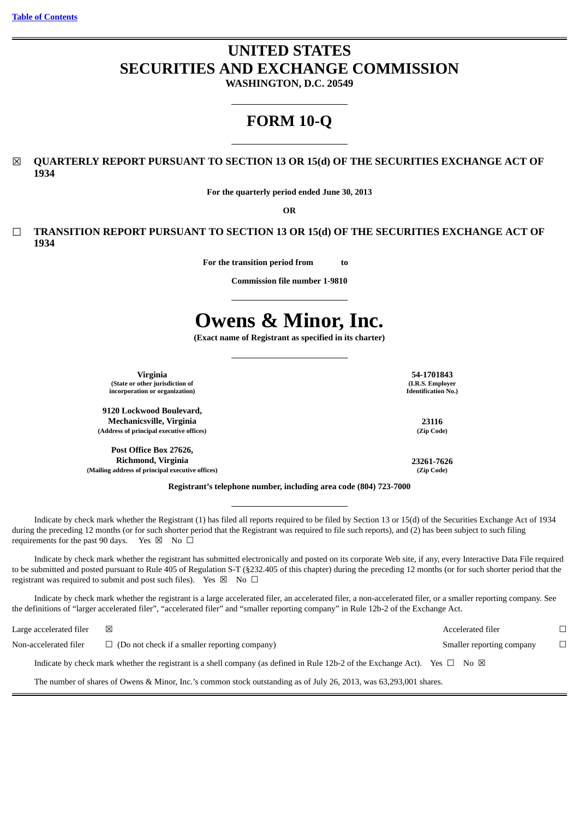# **UNITED STATES SECURITIES AND EXCHANGE COMMISSION**

**WASHINGTON, D.C. 20549**

## **FORM 10-Q**

### ☒ **QUARTERLY REPORT PURSUANT TO SECTION 13 OR 15(d) OF THE SECURITIES EXCHANGE ACT OF 1934**

**For the quarterly period ended June 30, 2013**

**OR**

☐ **TRANSITION REPORT PURSUANT TO SECTION 13 OR 15(d) OF THE SECURITIES EXCHANGE ACT OF 1934**

**For the transition period from to** 

**Commission file number 1-9810**

# **Owens & Minor, Inc.**

**(Exact name of Registrant as specified in its charter)**

| Virginia<br>(State or other jurisdiction of<br>incorporation or organization) | 54-1701843<br>(I.R.S. Employer<br><b>Identification No.)</b> |
|-------------------------------------------------------------------------------|--------------------------------------------------------------|
| 9120 Lockwood Boulevard,                                                      |                                                              |
| Mechanicsville, Virginia                                                      | 23116                                                        |
| (Address of principal executive offices)                                      | (Zip Code)                                                   |
| Post Office Box 27626.                                                        |                                                              |
| Richmond, Virginia                                                            | 23261-7626                                                   |
| (Mailing address of principal executive offices)                              | (Zip Code)                                                   |
|                                                                               |                                                              |

**Registrant's telephone number, including area code (804) 723-7000**

Indicate by check mark whether the Registrant (1) has filed all reports required to be filed by Section 13 or 15(d) of the Securities Exchange Act of 1934 during the preceding 12 months (or for such shorter period that the Registrant was required to file such reports), and (2) has been subject to such filing requirements for the past 90 days. Yes  $\boxtimes$  No  $\Box$ 

Indicate by check mark whether the registrant has submitted electronically and posted on its corporate Web site, if any, every Interactive Data File required to be submitted and posted pursuant to Rule 405 of Regulation S-T (§232.405 of this chapter) during the preceding 12 months (or for such shorter period that the registrant was required to submit and post such files). Yes  $\boxtimes$  No  $\Box$ 

Indicate by check mark whether the registrant is a large accelerated filer, an accelerated filer, a non-accelerated filer, or a smaller reporting company. See the definitions of "larger accelerated filer", "accelerated filer" and "smaller reporting company" in Rule 12b-2 of the Exchange Act.

Large accelerated filer  $□$   $□$ 

Non-accelerated filer  $\Box$  (Do not check if a smaller reporting company) Smaller reporting company  $\Box$ 

Indicate by check mark whether the registrant is a shell company (as defined in Rule 12b-2 of the Exchange Act). Yes  $\Box$  No  $\boxtimes$ 

The number of shares of Owens & Minor, Inc.'s common stock outstanding as of July 26, 2013, was 63,293,001 shares.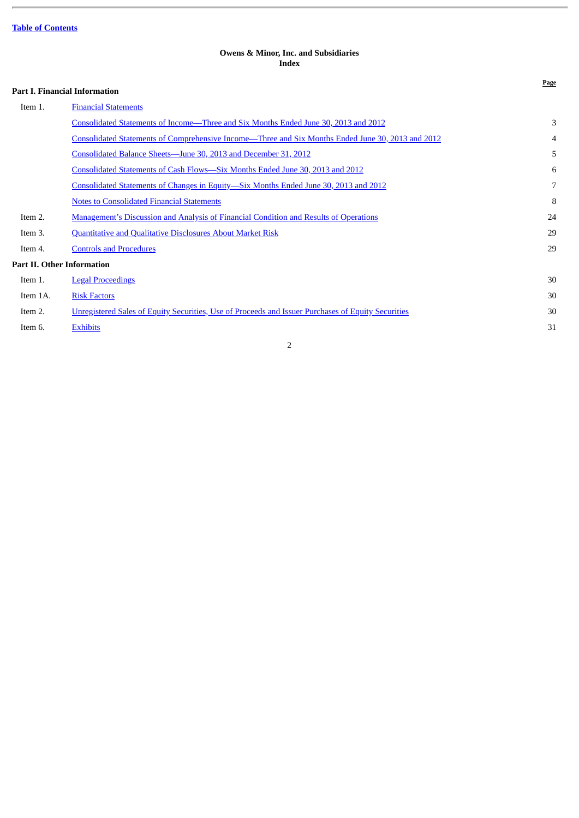### **Owens & Minor, Inc. and Subsidiaries Index**

### <span id="page-1-0"></span>**Part I. Financial Information**

| Item 1.                    | <b>Financial Statements</b>                                                                               |    |
|----------------------------|-----------------------------------------------------------------------------------------------------------|----|
|                            | Consolidated Statements of Income—Three and Six Months Ended June 30, 2013 and 2012                       | 3  |
|                            | Consolidated Statements of Comprehensive Income—Three and Six Months Ended June 30, 2013 and 2012         | 4  |
|                            | Consolidated Balance Sheets-June 30, 2013 and December 31, 2012                                           | 5  |
|                            | Consolidated Statements of Cash Flows-Six Months Ended June 30, 2013 and 2012                             | 6  |
|                            | <u>Consolidated Statements of Changes in Equity—Six Months Ended June 30, 2013 and 2012</u>               | 7  |
|                            | <b>Notes to Consolidated Financial Statements</b>                                                         | 8  |
| Item 2.                    | Management's Discussion and Analysis of Financial Condition and Results of Operations                     | 24 |
| Item 3.                    | <b>Quantitative and Qualitative Disclosures About Market Risk</b>                                         | 29 |
| Item 4.                    | <b>Controls and Procedures</b>                                                                            | 29 |
| Part II. Other Information |                                                                                                           |    |
| Item 1.                    | <b>Legal Proceedings</b>                                                                                  | 30 |
| Item 1A.                   | <b>Risk Factors</b>                                                                                       | 30 |
| Item 2.                    | <u>Unregistered Sales of Equity Securities, Use of Proceeds and Issuer Purchases of Equity Securities</u> | 30 |
| Item 6.                    | <b>Exhibits</b>                                                                                           | 31 |

### 2

**Page**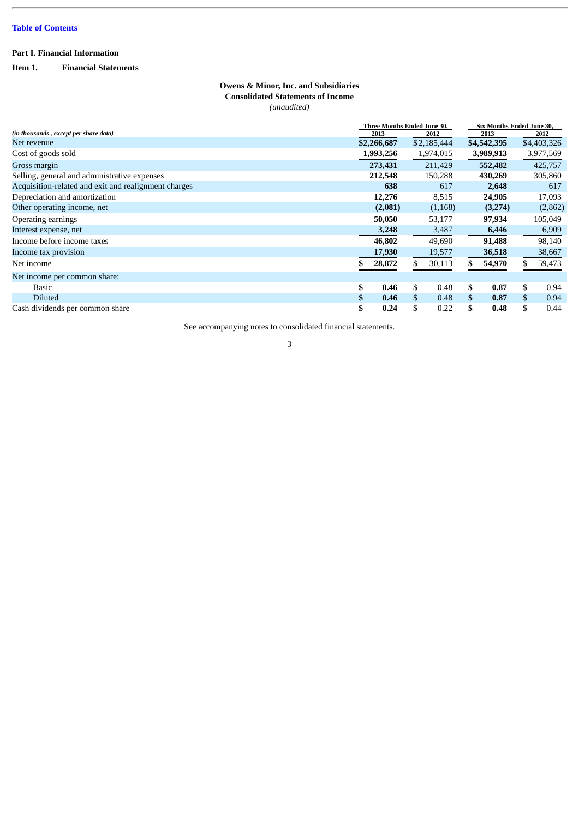### **Part I. Financial Information**

<span id="page-2-1"></span><span id="page-2-0"></span>**Item 1. Financial Statements**

### **Owens & Minor, Inc. and Subsidiaries Consolidated Statements of Income** *(unaudited)*

|                                                      | Three Months Ended June 30, |    |             | Six Months Ended June 30, |             |    |             |
|------------------------------------------------------|-----------------------------|----|-------------|---------------------------|-------------|----|-------------|
| (in thousands, except per share data)                | 2013                        |    | 2012        |                           | 2013        |    | 2012        |
| Net revenue                                          | \$2,266,687                 |    | \$2,185,444 |                           | \$4,542,395 |    | \$4,403,326 |
| Cost of goods sold                                   | 1,993,256                   |    | 1,974,015   |                           | 3,989,913   |    | 3,977,569   |
| Gross margin                                         | 273,431                     |    | 211,429     |                           | 552,482     |    | 425,757     |
| Selling, general and administrative expenses         | 212,548                     |    | 150,288     |                           | 430,269     |    | 305,860     |
| Acquisition-related and exit and realignment charges | 638                         |    | 617         |                           | 2,648       |    | 617         |
| Depreciation and amortization                        | 12,276                      |    | 8,515       |                           | 24,905      |    | 17,093      |
| Other operating income, net                          | (2,081)                     |    | (1,168)     |                           | (3,274)     |    | (2,862)     |
| Operating earnings                                   | 50,050                      |    | 53,177      |                           | 97,934      |    | 105,049     |
| Interest expense, net                                | 3,248                       |    | 3,487       |                           | 6,446       |    | 6,909       |
| Income before income taxes                           | 46,802                      |    | 49,690      |                           | 91,488      |    | 98,140      |
| Income tax provision                                 | 17,930                      |    | 19,577      |                           | 36,518      |    | 38,667      |
| Net income                                           | 28,872                      | \$ | 30,113      |                           | 54,970      |    | 59,473      |
| Net income per common share:                         |                             |    |             |                           |             |    |             |
| Basic                                                | \$<br>0.46                  | \$ | 0.48        | \$                        | 0.87        | \$ | 0.94        |
| <b>Diluted</b>                                       | 0.46                        | \$ | 0.48        | \$                        | 0.87        | \$ | 0.94        |
| Cash dividends per common share                      | 0.24                        | \$ | 0.22        | \$                        | 0.48        |    | 0.44        |

See accompanying notes to consolidated financial statements.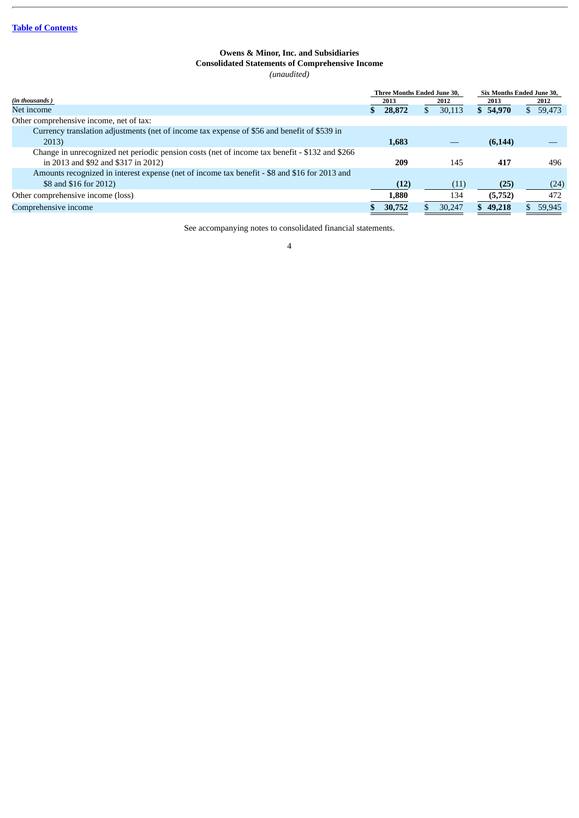### **Owens & Minor, Inc. and Subsidiaries Consolidated Statements of Comprehensive Income**

*(unaudited)*

<span id="page-3-0"></span>

|                                                                                                | Three Months Ended June 30, |        | <b>Six Months Ended June 30.</b> |          |  |               |
|------------------------------------------------------------------------------------------------|-----------------------------|--------|----------------------------------|----------|--|---------------|
| (in thousands)                                                                                 |                             | 2013   | 2012                             | 2013     |  | 2012          |
| Net income                                                                                     |                             | 28,872 | 30,113                           | \$54,970 |  | 59,473<br>SS. |
| Other comprehensive income, net of tax:                                                        |                             |        |                                  |          |  |               |
| Currency translation adjustments (net of income tax expense of \$56 and benefit of \$539 in    |                             |        |                                  |          |  |               |
| 2013)                                                                                          |                             | 1,683  |                                  | (6, 144) |  |               |
| Change in unrecognized net periodic pension costs (net of income tax benefit - \$132 and \$266 |                             |        |                                  |          |  |               |
| in 2013 and \$92 and \$317 in 2012)                                                            |                             | 209    | 145                              | 417      |  | 496           |
| Amounts recognized in interest expense (net of income tax benefit - \$8 and \$16 for 2013 and  |                             |        |                                  |          |  |               |
| \$8 and \$16 for 2012)                                                                         |                             | (12)   | (11)                             | (25)     |  | (24)          |
| Other comprehensive income (loss)                                                              |                             | 1,880  | 134                              | (5,752)  |  | 472           |
| Comprehensive income                                                                           |                             | 30,752 | 30,247                           | \$49,218 |  | 59,945        |
|                                                                                                |                             |        |                                  |          |  |               |

See accompanying notes to consolidated financial statements. 4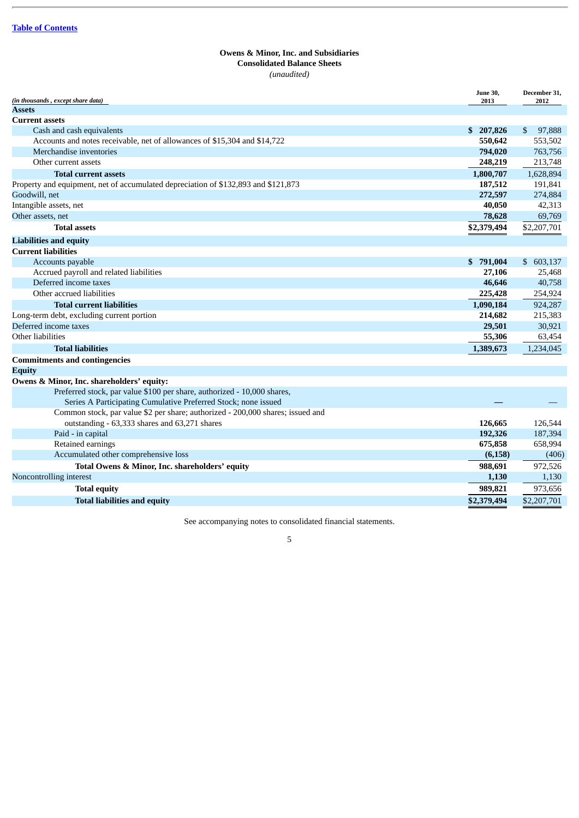### **Owens & Minor, Inc. and Subsidiaries Consolidated Balance Sheets**

*(unaudited)*

<span id="page-4-0"></span>

| (in thousands, except share data)                                                  | <b>June 30,</b><br>2013 | December 31,<br>2012 |
|------------------------------------------------------------------------------------|-------------------------|----------------------|
| <b>Assets</b>                                                                      |                         |                      |
| <b>Current assets</b>                                                              |                         |                      |
| Cash and cash equivalents                                                          | \$207,826               | 97,888<br>\$         |
| Accounts and notes receivable, net of allowances of \$15,304 and \$14,722          | 550,642                 | 553,502              |
| Merchandise inventories                                                            | 794,020                 | 763,756              |
| Other current assets                                                               | 248,219                 | 213,748              |
| <b>Total current assets</b>                                                        | 1,800,707               | 1,628,894            |
| Property and equipment, net of accumulated depreciation of \$132,893 and \$121,873 | 187,512                 | 191,841              |
| Goodwill, net                                                                      | 272,597                 | 274,884              |
| Intangible assets, net                                                             | 40,050                  | 42,313               |
| Other assets, net                                                                  | 78,628                  | 69,769               |
| <b>Total assets</b>                                                                | \$2,379,494             | \$2,207,701          |
| <b>Liabilities and equity</b>                                                      |                         |                      |
| <b>Current liabilities</b>                                                         |                         |                      |
| Accounts payable                                                                   | \$791,004               | \$603,137            |
| Accrued payroll and related liabilities                                            | 27,106                  | 25,468               |
| Deferred income taxes                                                              | 46,646                  | 40,758               |
| Other accrued liabilities                                                          | 225,428                 | 254,924              |
| <b>Total current liabilities</b>                                                   | 1,090,184               | 924,287              |
| Long-term debt, excluding current portion                                          | 214,682                 | 215,383              |
| Deferred income taxes                                                              | 29,501                  | 30,921               |
| Other liabilities                                                                  | 55,306                  | 63,454               |
| <b>Total liabilities</b>                                                           | 1,389,673               | 1,234,045            |
| <b>Commitments and contingencies</b>                                               |                         |                      |
| Equity                                                                             |                         |                      |
| Owens & Minor, Inc. shareholders' equity:                                          |                         |                      |
| Preferred stock, par value \$100 per share, authorized - 10,000 shares,            |                         |                      |
| Series A Participating Cumulative Preferred Stock; none issued                     |                         |                      |
| Common stock, par value \$2 per share; authorized - 200,000 shares; issued and     |                         |                      |
| outstanding - 63,333 shares and 63,271 shares                                      | 126,665                 | 126,544              |
| Paid - in capital                                                                  | 192,326                 | 187,394              |
| Retained earnings                                                                  | 675,858                 | 658,994              |
| Accumulated other comprehensive loss                                               | (6, 158)                | (406)                |
| Total Owens & Minor, Inc. shareholders' equity                                     | 988,691                 | 972,526              |
| Noncontrolling interest                                                            | 1,130                   | 1,130                |
| <b>Total equity</b>                                                                | 989,821                 | 973,656              |
| <b>Total liabilities and equity</b>                                                | \$2,379,494             | \$2,207,701          |
|                                                                                    |                         |                      |

See accompanying notes to consolidated financial statements.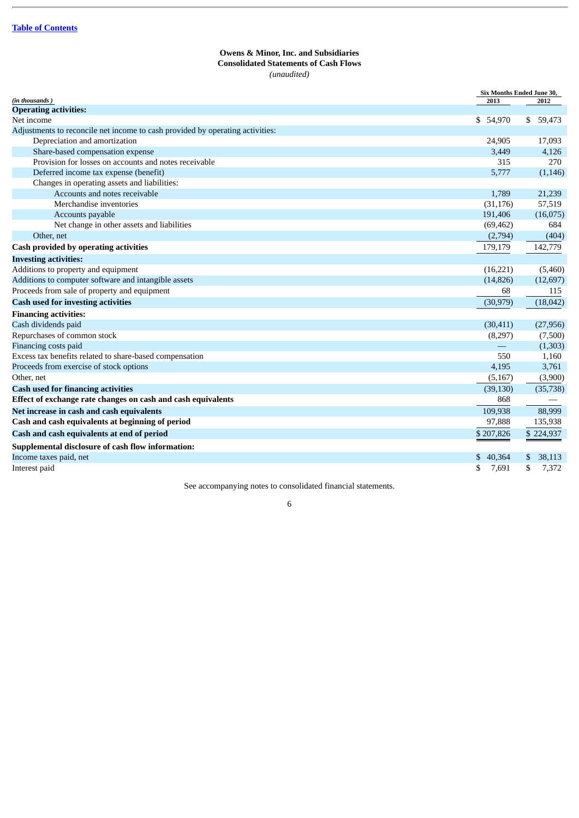### **Owens & Minor, Inc. and Subsidiaries Consolidated Statements of Cash Flows**

*(unaudited)*

<span id="page-5-0"></span>

| (in thousands)                                                                | 2013      | Six Months Ended June 30,<br>2012 |
|-------------------------------------------------------------------------------|-----------|-----------------------------------|
| <b>Operating activities:</b>                                                  |           |                                   |
| Net income                                                                    | \$ 54,970 | \$<br>59,473                      |
| Adjustments to reconcile net income to cash provided by operating activities: |           |                                   |
| Depreciation and amortization                                                 | 24,905    | 17,093                            |
| Share-based compensation expense                                              | 3,449     | 4,126                             |
| Provision for losses on accounts and notes receivable                         | 315       | 270                               |
| Deferred income tax expense (benefit)                                         | 5,777     | (1, 146)                          |
| Changes in operating assets and liabilities:                                  |           |                                   |
| Accounts and notes receivable                                                 | 1,789     | 21,239                            |
| Merchandise inventories                                                       | (31, 176) | 57,519                            |
| Accounts payable                                                              | 191,406   | (16,075)                          |
| Net change in other assets and liabilities                                    | (69, 462) | 684                               |
| Other, net                                                                    | (2,794)   | (404)                             |
| Cash provided by operating activities                                         | 179,179   | 142,779                           |
| <b>Investing activities:</b>                                                  |           |                                   |
| Additions to property and equipment                                           | (16,221)  | (5,460)                           |
| Additions to computer software and intangible assets                          | (14, 826) | (12, 697)                         |
| Proceeds from sale of property and equipment                                  | 68        | 115                               |
| <b>Cash used for investing activities</b>                                     | (30, 979) | (18, 042)                         |
| <b>Financing activities:</b>                                                  |           |                                   |
| Cash dividends paid                                                           | (30, 411) | (27,956)                          |
| Repurchases of common stock                                                   | (8,297)   | (7,500)                           |
| Financing costs paid                                                          |           | (1,303)                           |
| Excess tax benefits related to share-based compensation                       | 550       | 1,160                             |
| Proceeds from exercise of stock options                                       | 4,195     | 3,761                             |
| Other, net                                                                    | (5, 167)  | (3,900)                           |
| <b>Cash used for financing activities</b>                                     | (39, 130) | (35, 738)                         |
| Effect of exchange rate changes on cash and cash equivalents                  | 868       |                                   |
| Net increase in cash and cash equivalents                                     | 109,938   | 88,999                            |
| Cash and cash equivalents at beginning of period                              | 97,888    | 135,938                           |
| Cash and cash equivalents at end of period                                    | \$207,826 | \$224,937                         |
| Supplemental disclosure of cash flow information:                             |           |                                   |
| Income taxes paid, net                                                        | 40,364    | 38.113                            |
| Interest paid                                                                 | 7,691     | \$<br>7,372                       |

See accompanying notes to consolidated financial statements.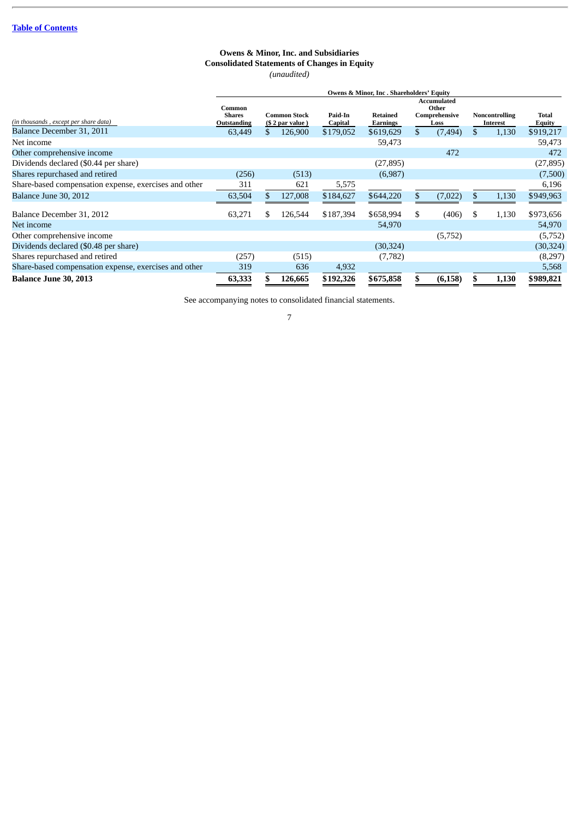### **Owens & Minor, Inc. and Subsidiaries Consolidated Statements of Changes in Equity**

*(unaudited)*

<span id="page-6-0"></span>

|                                                       | Owens & Minor, Inc. Shareholders' Equity |    |                                        |                    |                             |    |                       |    |                            |                 |
|-------------------------------------------------------|------------------------------------------|----|----------------------------------------|--------------------|-----------------------------|----|-----------------------|----|----------------------------|-----------------|
|                                                       | Common                                   |    |                                        |                    |                             |    | Accumulated<br>Other  |    |                            |                 |
| (in thousands, except per share data)                 | <b>Shares</b><br>Outstanding             |    | <b>Common Stock</b><br>(\$2 par value) | Paid-In<br>Capital | <b>Retained</b><br>Earnings |    | Comprehensive<br>Loss |    | Noncontrolling<br>Interest | Total<br>Equity |
| Balance December 31, 2011                             | 63,449                                   |    | 126,900                                | \$179,052          | \$619,629                   | \$ | (7, 494)              | \$ | 1,130                      | \$919,217       |
| Net income                                            |                                          |    |                                        |                    | 59,473                      |    |                       |    |                            | 59,473          |
| Other comprehensive income                            |                                          |    |                                        |                    |                             |    | 472                   |    |                            | 472             |
| Dividends declared (\$0.44 per share)                 |                                          |    |                                        |                    | (27, 895)                   |    |                       |    |                            | (27, 895)       |
| Shares repurchased and retired                        | (256)                                    |    | (513)                                  |                    | (6,987)                     |    |                       |    |                            | (7,500)         |
| Share-based compensation expense, exercises and other | 311                                      |    | 621                                    | 5,575              |                             |    |                       |    |                            | 6,196           |
| Balance June 30, 2012                                 | 63,504                                   |    | 127,008                                | \$184,627          | \$644,220                   | \$ | (7,022)               | \$ | 1,130                      | \$949,963       |
| Balance December 31, 2012                             | 63,271                                   | \$ | 126,544                                | \$187,394          | \$658,994                   | \$ | (406)                 | S  | 1,130                      | \$973,656       |
| Net income                                            |                                          |    |                                        |                    | 54,970                      |    |                       |    |                            | 54,970          |
| Other comprehensive income                            |                                          |    |                                        |                    |                             |    | (5,752)               |    |                            | (5,752)         |
| Dividends declared (\$0.48 per share)                 |                                          |    |                                        |                    | (30, 324)                   |    |                       |    |                            | (30, 324)       |
| Shares repurchased and retired                        | (257)                                    |    | (515)                                  |                    | (7, 782)                    |    |                       |    |                            | (8,297)         |
| Share-based compensation expense, exercises and other | 319                                      |    | 636                                    | 4,932              |                             |    |                       |    |                            | 5,568           |
| <b>Balance June 30, 2013</b>                          | 63,333                                   |    | 126,665                                | \$192,326          | \$675,858                   |    | (6, 158)              |    | 1,130                      | \$989,821       |

See accompanying notes to consolidated financial statements.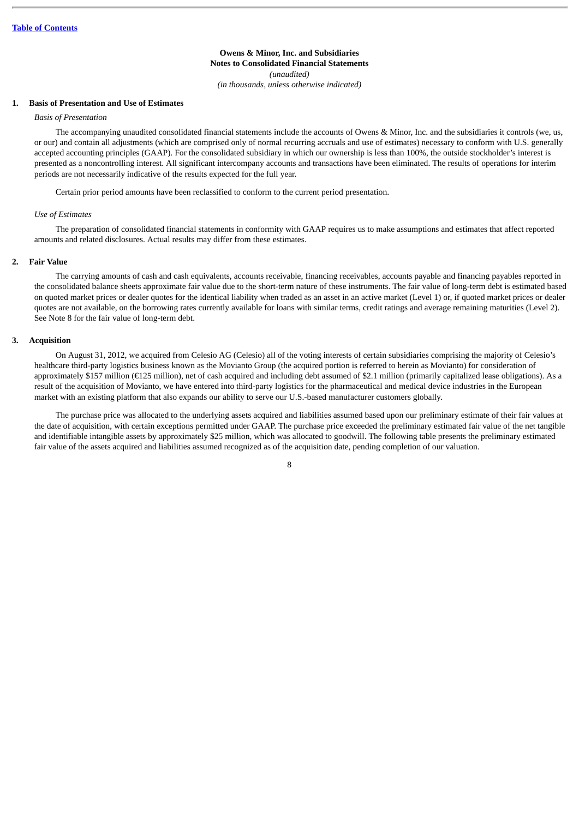**Owens & Minor, Inc. and Subsidiaries Notes to Consolidated Financial Statements** *(unaudited) (in thousands, unless otherwise indicated)*

#### <span id="page-7-0"></span>**1. Basis of Presentation and Use of Estimates**

#### *Basis of Presentation*

The accompanying unaudited consolidated financial statements include the accounts of Owens & Minor, Inc. and the subsidiaries it controls (we, us, or our) and contain all adjustments (which are comprised only of normal recurring accruals and use of estimates) necessary to conform with U.S. generally accepted accounting principles (GAAP). For the consolidated subsidiary in which our ownership is less than 100%, the outside stockholder's interest is presented as a noncontrolling interest. All significant intercompany accounts and transactions have been eliminated. The results of operations for interim periods are not necessarily indicative of the results expected for the full year.

Certain prior period amounts have been reclassified to conform to the current period presentation.

#### *Use of Estimates*

The preparation of consolidated financial statements in conformity with GAAP requires us to make assumptions and estimates that affect reported amounts and related disclosures. Actual results may differ from these estimates.

#### **2. Fair Value**

The carrying amounts of cash and cash equivalents, accounts receivable, financing receivables, accounts payable and financing payables reported in the consolidated balance sheets approximate fair value due to the short-term nature of these instruments. The fair value of long-term debt is estimated based on quoted market prices or dealer quotes for the identical liability when traded as an asset in an active market (Level 1) or, if quoted market prices or dealer quotes are not available, on the borrowing rates currently available for loans with similar terms, credit ratings and average remaining maturities (Level 2). See Note 8 for the fair value of long-term debt.

#### **3. Acquisition**

On August 31, 2012, we acquired from Celesio AG (Celesio) all of the voting interests of certain subsidiaries comprising the majority of Celesio's healthcare third-party logistics business known as the Movianto Group (the acquired portion is referred to herein as Movianto) for consideration of approximately \$157 million (€125 million), net of cash acquired and including debt assumed of \$2.1 million (primarily capitalized lease obligations). As a result of the acquisition of Movianto, we have entered into third-party logistics for the pharmaceutical and medical device industries in the European market with an existing platform that also expands our ability to serve our U.S.-based manufacturer customers globally.

The purchase price was allocated to the underlying assets acquired and liabilities assumed based upon our preliminary estimate of their fair values at the date of acquisition, with certain exceptions permitted under GAAP. The purchase price exceeded the preliminary estimated fair value of the net tangible and identifiable intangible assets by approximately \$25 million, which was allocated to goodwill. The following table presents the preliminary estimated fair value of the assets acquired and liabilities assumed recognized as of the acquisition date, pending completion of our valuation.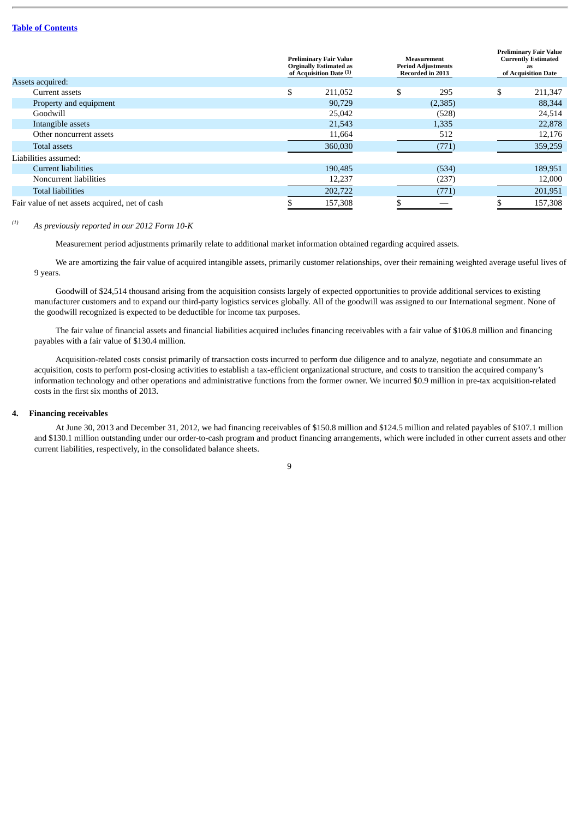|                                                | <b>Preliminary Fair Value</b><br>Measurement<br><b>Orginally Estimated as</b><br><b>Period Adjustments</b><br>of Acquisition Date (1)<br>Recorded in 2013 |    |         | <b>Preliminary Fair Value</b><br><b>Currently Estimated</b><br>as<br>of Acquisition Date |
|------------------------------------------------|-----------------------------------------------------------------------------------------------------------------------------------------------------------|----|---------|------------------------------------------------------------------------------------------|
| Assets acquired:                               |                                                                                                                                                           |    |         |                                                                                          |
| Current assets                                 | \$<br>211,052                                                                                                                                             | \$ | 295     | \$<br>211,347                                                                            |
| Property and equipment                         | 90,729                                                                                                                                                    |    | (2,385) | 88,344                                                                                   |
| Goodwill                                       | 25,042                                                                                                                                                    |    | (528)   | 24,514                                                                                   |
| Intangible assets                              | 21,543                                                                                                                                                    |    | 1,335   | 22,878                                                                                   |
| Other noncurrent assets                        | 11,664                                                                                                                                                    |    | 512     | 12,176                                                                                   |
| Total assets                                   | 360,030                                                                                                                                                   |    | (771)   | 359,259                                                                                  |
| Liabilities assumed:                           |                                                                                                                                                           |    |         |                                                                                          |
| Current liabilities                            | 190,485                                                                                                                                                   |    | (534)   | 189,951                                                                                  |
| Noncurrent liabilities                         | 12,237                                                                                                                                                    |    | (237)   | 12,000                                                                                   |
| <b>Total liabilities</b>                       | 202,722                                                                                                                                                   |    | (771)   | 201,951                                                                                  |
| Fair value of net assets acquired, net of cash | 157,308                                                                                                                                                   |    |         | 157,308                                                                                  |

#### *As previously reported in our 2012 Form 10-K (1)*

Measurement period adjustments primarily relate to additional market information obtained regarding acquired assets.

We are amortizing the fair value of acquired intangible assets, primarily customer relationships, over their remaining weighted average useful lives of 9 years.

Goodwill of \$24,514 thousand arising from the acquisition consists largely of expected opportunities to provide additional services to existing manufacturer customers and to expand our third-party logistics services globally. All of the goodwill was assigned to our International segment. None of the goodwill recognized is expected to be deductible for income tax purposes.

The fair value of financial assets and financial liabilities acquired includes financing receivables with a fair value of \$106.8 million and financing payables with a fair value of \$130.4 million.

Acquisition-related costs consist primarily of transaction costs incurred to perform due diligence and to analyze, negotiate and consummate an acquisition, costs to perform post-closing activities to establish a tax-efficient organizational structure, and costs to transition the acquired company's information technology and other operations and administrative functions from the former owner. We incurred \$0.9 million in pre-tax acquisition-related costs in the first six months of 2013.

#### **4. Financing receivables**

At June 30, 2013 and December 31, 2012, we had financing receivables of \$150.8 million and \$124.5 million and related payables of \$107.1 million and \$130.1 million outstanding under our order-to-cash program and product financing arrangements, which were included in other current assets and other current liabilities, respectively, in the consolidated balance sheets.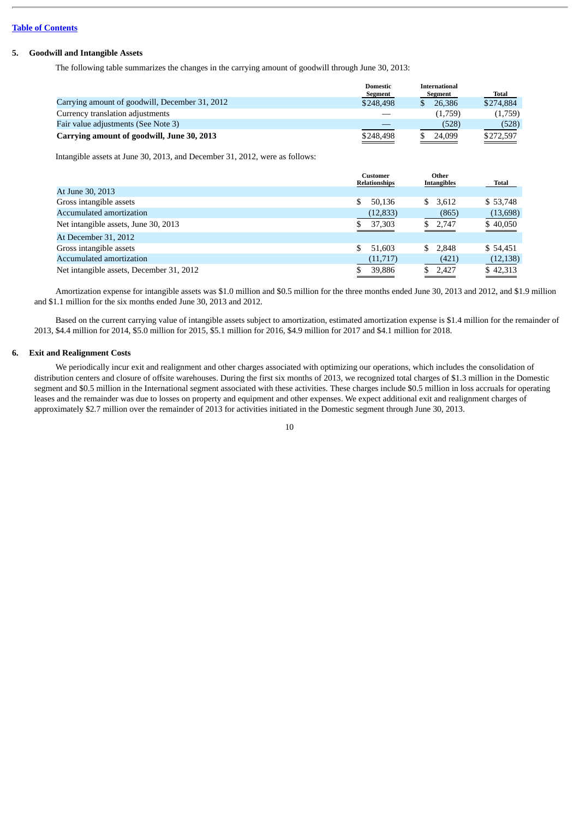### **5. Goodwill and Intangible Assets**

The following table summarizes the changes in the carrying amount of goodwill through June 30, 2013:

|                                                | <b>Domestic</b> | <b>International</b> |              |
|------------------------------------------------|-----------------|----------------------|--------------|
|                                                | Segment         | Segment              | <b>Total</b> |
| Carrying amount of goodwill, December 31, 2012 | \$248,498       | 26,386               | \$274,884    |
| Currency translation adjustments               |                 | (1.759)              | (1,759)      |
| Fair value adjustments (See Note 3)            |                 | (528)                | (528)        |
| Carrying amount of goodwill, June 30, 2013     | \$248,498       | 24,099               | \$272,597    |

Intangible assets at June 30, 2013, and December 31, 2012, were as follows:

|                                          | Customer<br><b>Relationships</b> | Other<br><b>Intangibles</b> | Total     |
|------------------------------------------|----------------------------------|-----------------------------|-----------|
| At June 30, 2013                         |                                  |                             |           |
| Gross intangible assets                  | \$<br>50.136                     | 3.612<br>S.                 | \$53,748  |
| Accumulated amortization                 | (12, 833)                        | (865)                       | (13,698)  |
| Net intangible assets, June 30, 2013     | 37,303                           | \$2,747                     | \$40,050  |
| At December 31, 2012                     |                                  |                             |           |
| Gross intangible assets                  | \$<br>51.603                     | 2.848<br>S.                 | \$54,451  |
| Accumulated amortization                 | (11,717)                         | (421)                       | (12, 138) |
| Net intangible assets, December 31, 2012 | 39,886                           | 2,427                       | \$42,313  |

Amortization expense for intangible assets was \$1.0 million and \$0.5 million for the three months ended June 30, 2013 and 2012, and \$1.9 million and \$1.1 million for the six months ended June 30, 2013 and 2012.

Based on the current carrying value of intangible assets subject to amortization, estimated amortization expense is \$1.4 million for the remainder of 2013, \$4.4 million for 2014, \$5.0 million for 2015, \$5.1 million for 2016, \$4.9 million for 2017 and \$4.1 million for 2018.

#### **6. Exit and Realignment Costs**

We periodically incur exit and realignment and other charges associated with optimizing our operations, which includes the consolidation of distribution centers and closure of offsite warehouses. During the first six months of 2013, we recognized total charges of \$1.3 million in the Domestic segment and \$0.5 million in the International segment associated with these activities. These charges include \$0.5 million in loss accruals for operating leases and the remainder was due to losses on property and equipment and other expenses. We expect additional exit and realignment charges of approximately \$2.7 million over the remainder of 2013 for activities initiated in the Domestic segment through June 30, 2013.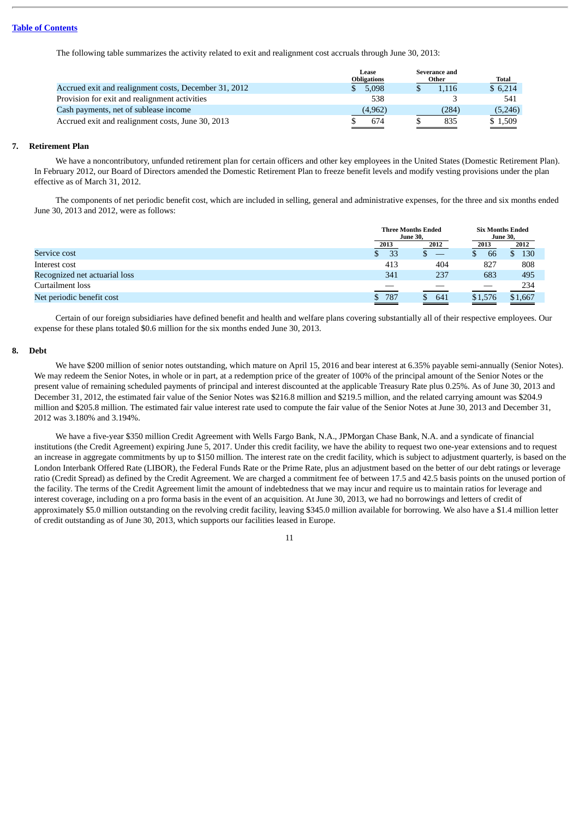The following table summarizes the activity related to exit and realignment cost accruals through June 30, 2013:

|                                                       | Lease<br><b>Obligations</b> | <b>Severance and</b><br>Other | <b>Total</b>                        |
|-------------------------------------------------------|-----------------------------|-------------------------------|-------------------------------------|
| Accrued exit and realignment costs, December 31, 2012 | 5,098                       | 1.116                         | \$6,214                             |
| Provision for exit and realignment activities         | 538                         |                               | 541                                 |
| Cash payments, net of sublease income                 | (4,962)                     | (284)                         | (5,246)                             |
| Accrued exit and realignment costs, June 30, 2013     | 674                         | 835                           | \$1,509<br>$\overline{\phantom{a}}$ |

#### **7. Retirement Plan**

We have a noncontributory, unfunded retirement plan for certain officers and other key employees in the United States (Domestic Retirement Plan). In February 2012, our Board of Directors amended the Domestic Retirement Plan to freeze benefit levels and modify vesting provisions under the plan effective as of March 31, 2012.

The components of net periodic benefit cost, which are included in selling, general and administrative expenses, for the three and six months ended June 30, 2013 and 2012, were as follows:

|                               | <b>Three Months Ended</b> | <b>June 30,</b> | <b>Six Months Ended</b> | <b>June 30,</b> |
|-------------------------------|---------------------------|-----------------|-------------------------|-----------------|
|                               | 2013                      | 2012            | 2013                    | 2012            |
| Service cost                  | 33                        |                 | 66                      | 130             |
| Interest cost                 | 413                       | 404             | 827                     | 808             |
| Recognized net actuarial loss | 341                       | 237             | 683                     | 495             |
| Curtailment loss              |                           |                 |                         | 234             |
| Net periodic benefit cost     | 787<br>S.                 | 641<br>S        | \$1,576                 | \$1,667         |

Certain of our foreign subsidiaries have defined benefit and health and welfare plans covering substantially all of their respective employees. Our expense for these plans totaled \$0.6 million for the six months ended June 30, 2013.

#### **8. Debt**

We have \$200 million of senior notes outstanding, which mature on April 15, 2016 and bear interest at 6.35% payable semi-annually (Senior Notes). We may redeem the Senior Notes, in whole or in part, at a redemption price of the greater of 100% of the principal amount of the Senior Notes or the present value of remaining scheduled payments of principal and interest discounted at the applicable Treasury Rate plus 0.25%. As of June 30, 2013 and December 31, 2012, the estimated fair value of the Senior Notes was \$216.8 million and \$219.5 million, and the related carrying amount was \$204.9 million and \$205.8 million. The estimated fair value interest rate used to compute the fair value of the Senior Notes at June 30, 2013 and December 31, 2012 was 3.180% and 3.194%.

We have a five-year \$350 million Credit Agreement with Wells Fargo Bank, N.A., JPMorgan Chase Bank, N.A. and a syndicate of financial institutions (the Credit Agreement) expiring June 5, 2017. Under this credit facility, we have the ability to request two one-year extensions and to request an increase in aggregate commitments by up to \$150 million. The interest rate on the credit facility, which is subject to adjustment quarterly, is based on the London Interbank Offered Rate (LIBOR), the Federal Funds Rate or the Prime Rate, plus an adjustment based on the better of our debt ratings or leverage ratio (Credit Spread) as defined by the Credit Agreement. We are charged a commitment fee of between 17.5 and 42.5 basis points on the unused portion of the facility. The terms of the Credit Agreement limit the amount of indebtedness that we may incur and require us to maintain ratios for leverage and interest coverage, including on a pro forma basis in the event of an acquisition. At June 30, 2013, we had no borrowings and letters of credit of approximately \$5.0 million outstanding on the revolving credit facility, leaving \$345.0 million available for borrowing. We also have a \$1.4 million letter of credit outstanding as of June 30, 2013, which supports our facilities leased in Europe.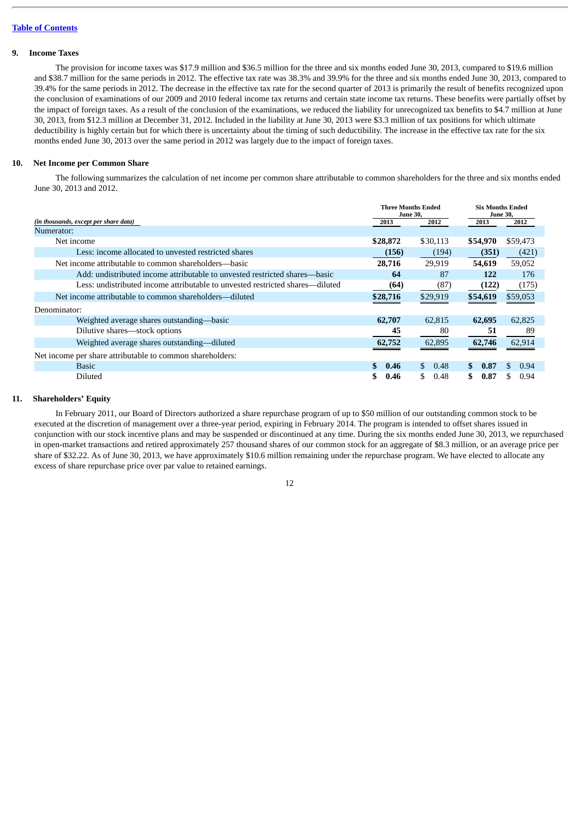#### **9. Income Taxes**

The provision for income taxes was \$17.9 million and \$36.5 million for the three and six months ended June 30, 2013, compared to \$19.6 million and \$38.7 million for the same periods in 2012. The effective tax rate was 38.3% and 39.9% for the three and six months ended June 30, 2013, compared to 39.4% for the same periods in 2012. The decrease in the effective tax rate for the second quarter of 2013 is primarily the result of benefits recognized upon the conclusion of examinations of our 2009 and 2010 federal income tax returns and certain state income tax returns. These benefits were partially offset by the impact of foreign taxes. As a result of the conclusion of the examinations, we reduced the liability for unrecognized tax benefits to \$4.7 million at June 30, 2013, from \$12.3 million at December 31, 2012. Included in the liability at June 30, 2013 were \$3.3 million of tax positions for which ultimate deductibility is highly certain but for which there is uncertainty about the timing of such deductibility. The increase in the effective tax rate for the six months ended June 30, 2013 over the same period in 2012 was largely due to the impact of foreign taxes.

### **10. Net Income per Common Share**

The following summarizes the calculation of net income per common share attributable to common shareholders for the three and six months ended June 30, 2013 and 2012.

|                                                                               | <b>Three Months Ended</b><br><b>June 30,</b> |            | <b>Six Months Ended</b><br><b>June 30,</b> |             |
|-------------------------------------------------------------------------------|----------------------------------------------|------------|--------------------------------------------|-------------|
| (in thousands, except per share data)                                         | 2013                                         | 2012       | 2013                                       | 2012        |
| Numerator:                                                                    |                                              |            |                                            |             |
| Net income                                                                    | \$28,872                                     | \$30,113   | \$54,970                                   | \$59,473    |
| Less: income allocated to unvested restricted shares                          | (156)                                        | (194)      | (351)                                      | (421)       |
| Net income attributable to common shareholders—basic                          | 28,716                                       | 29,919     | 54,619                                     | 59,052      |
| Add: undistributed income attributable to unvested restricted shares—basic    | 64                                           | 87         | 122                                        | 176         |
| Less: undistributed income attributable to unvested restricted shares—diluted | (64)                                         | (87)       | (122)                                      | (175)       |
| Net income attributable to common shareholders—diluted                        | \$28,716                                     | \$29,919   | \$54,619                                   | \$59,053    |
| Denominator:                                                                  |                                              |            |                                            |             |
| Weighted average shares outstanding—basic                                     | 62,707                                       | 62,815     | 62,695                                     | 62,825      |
| Dilutive shares—stock options                                                 | 45                                           | 80         | 51                                         | 89          |
| Weighted average shares outstanding—diluted                                   | 62,752                                       | 62,895     | 62,746                                     | 62,914      |
| Net income per share attributable to common shareholders:                     |                                              |            |                                            |             |
| <b>Basic</b>                                                                  | 0.46                                         | 0.48<br>S. | 0.87<br>SS.                                | 0.94<br>S.  |
| Diluted                                                                       | 0.46                                         | 0.48<br>S. | 0.87                                       | 0.94<br>SS. |

### **11. Shareholders' Equity**

In February 2011, our Board of Directors authorized a share repurchase program of up to \$50 million of our outstanding common stock to be executed at the discretion of management over a three-year period, expiring in February 2014. The program is intended to offset shares issued in conjunction with our stock incentive plans and may be suspended or discontinued at any time. During the six months ended June 30, 2013, we repurchased in open-market transactions and retired approximately 257 thousand shares of our common stock for an aggregate of \$8.3 million, or an average price per share of \$32.22. As of June 30, 2013, we have approximately \$10.6 million remaining under the repurchase program. We have elected to allocate any excess of share repurchase price over par value to retained earnings.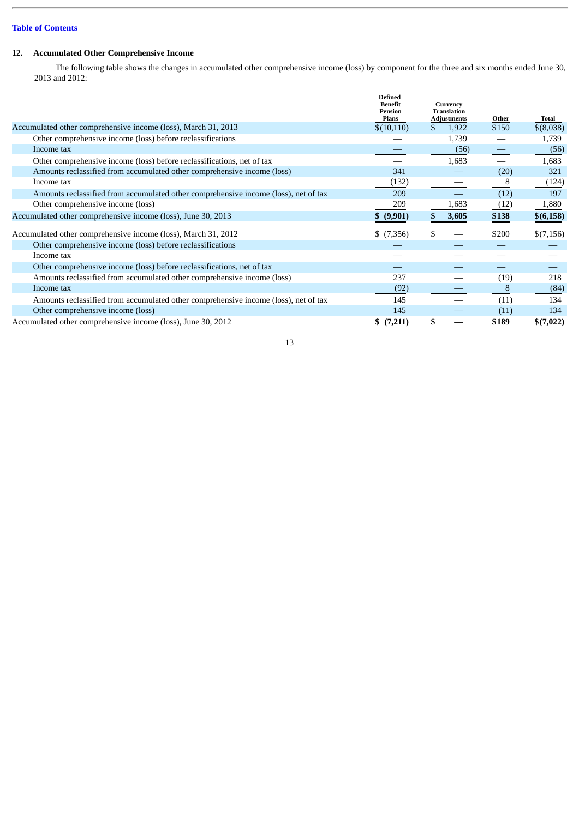### **12. Accumulated Other Comprehensive Income**

The following table shows the changes in accumulated other comprehensive income (loss) by component for the three and six months ended June 30, 2013 and 2012:

| <b>Defined</b><br><b>Benefit</b><br>Pension<br>Plans | Currency<br>Translation<br><b>Adjustments</b> | Other | <b>Total</b> |
|------------------------------------------------------|-----------------------------------------------|-------|--------------|
| \$(10,110)                                           | 1,922                                         | \$150 | \$(8,038)    |
|                                                      | 1,739                                         |       | 1,739        |
|                                                      | (56)                                          |       | (56)         |
|                                                      | 1,683                                         |       | 1,683        |
| 341                                                  |                                               | (20)  | 321          |
| (132)                                                |                                               | 8     | (124)        |
| 209                                                  |                                               | (12)  | 197          |
| 209                                                  | 1,683                                         |       | 1,880        |
| \$ (9,901)                                           | 3,605                                         | \$138 | \$(6, 158)   |
| \$(7,356)                                            | \$.                                           | \$200 | \$(7,156)    |
|                                                      |                                               |       |              |
|                                                      |                                               |       |              |
|                                                      |                                               |       |              |
| 237                                                  |                                               | (19)  | 218          |
| (92)                                                 |                                               | 8     | (84)         |
| 145                                                  |                                               | (11)  | 134          |
| 145                                                  |                                               | (11)  | 134          |
| (7,211)                                              |                                               | \$189 | \$(7, 022)   |
|                                                      |                                               |       | (12)         |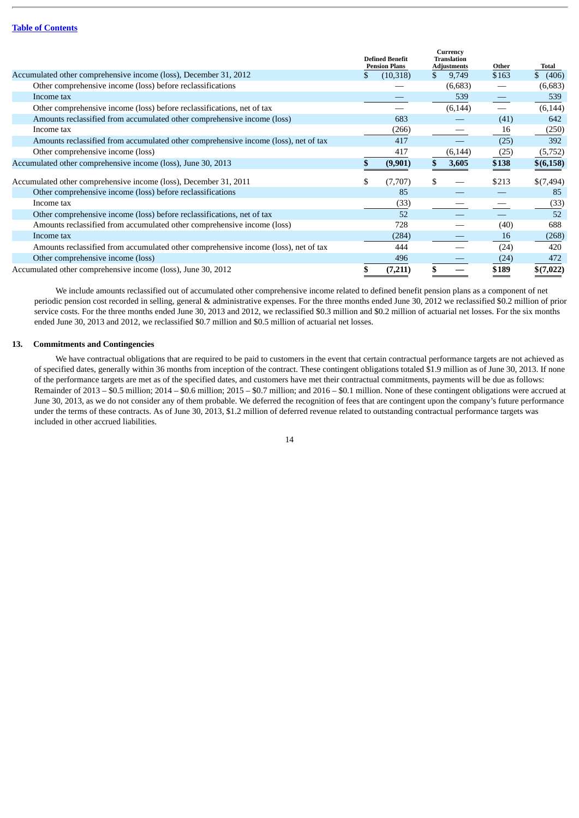|                                                                                     |     | <b>Defined Benefit</b><br><b>Pension Plans</b> |    | Currency<br><b>Translation</b><br><b>Adjustments</b> | Other | Total       |
|-------------------------------------------------------------------------------------|-----|------------------------------------------------|----|------------------------------------------------------|-------|-------------|
| Accumulated other comprehensive income (loss), December 31, 2012                    |     | (10,318)                                       | \$ | 9,749                                                | \$163 | \$<br>(406) |
| Other comprehensive income (loss) before reclassifications                          |     |                                                |    | (6,683)                                              |       | (6,683)     |
| Income tax                                                                          |     |                                                |    | 539                                                  |       | 539         |
| Other comprehensive income (loss) before reclassifications, net of tax              |     |                                                |    | (6, 144)                                             |       | (6, 144)    |
| Amounts reclassified from accumulated other comprehensive income (loss)             |     | 683                                            |    |                                                      | (41)  | 642         |
| Income tax                                                                          |     | (266)                                          |    |                                                      | 16    | (250)       |
| Amounts reclassified from accumulated other comprehensive income (loss), net of tax |     | 417                                            |    |                                                      | (25)  | 392         |
| Other comprehensive income (loss)                                                   |     | 417                                            |    | (6, 144)                                             | (25)  | (5,752)     |
| Accumulated other comprehensive income (loss), June 30, 2013                        |     | (9,901)                                        | S. | 3,605                                                | \$138 | \$(6,158)   |
| Accumulated other comprehensive income (loss), December 31, 2011                    | \$. | (7,707)                                        |    |                                                      | \$213 | \$(7,494)   |
| Other comprehensive income (loss) before reclassifications                          |     | 85                                             |    |                                                      |       | 85          |
| Income tax                                                                          |     | (33)                                           |    |                                                      |       | (33)        |
| Other comprehensive income (loss) before reclassifications, net of tax              |     | 52                                             |    |                                                      |       | 52          |
| Amounts reclassified from accumulated other comprehensive income (loss)             |     | 728                                            |    |                                                      | (40)  | 688         |
| Income tax                                                                          |     | (284)                                          |    |                                                      | 16    | (268)       |
| Amounts reclassified from accumulated other comprehensive income (loss), net of tax |     | 444                                            |    |                                                      | (24)  | 420         |
| Other comprehensive income (loss)                                                   |     | 496                                            |    |                                                      | (24)  | 472         |
| Accumulated other comprehensive income (loss), June 30, 2012                        |     | (7,211)                                        |    |                                                      | \$189 | \$(7,022)   |

We include amounts reclassified out of accumulated other comprehensive income related to defined benefit pension plans as a component of net periodic pension cost recorded in selling, general & administrative expenses. For the three months ended June 30, 2012 we reclassified \$0.2 million of prior service costs. For the three months ended June 30, 2013 and 2012, we reclassified \$0.3 million and \$0.2 million of actuarial net losses. For the six months ended June 30, 2013 and 2012, we reclassified \$0.7 million and \$0.5 million of actuarial net losses.

### **13. Commitments and Contingencies**

We have contractual obligations that are required to be paid to customers in the event that certain contractual performance targets are not achieved as of specified dates, generally within 36 months from inception of the contract. These contingent obligations totaled \$1.9 million as of June 30, 2013. If none of the performance targets are met as of the specified dates, and customers have met their contractual commitments, payments will be due as follows: Remainder of 2013 – \$0.5 million; 2014 – \$0.6 million; 2015 – \$0.7 million; and 2016 – \$0.1 million. None of these contingent obligations were accrued at June 30, 2013, as we do not consider any of them probable. We deferred the recognition of fees that are contingent upon the company's future performance under the terms of these contracts. As of June 30, 2013, \$1.2 million of deferred revenue related to outstanding contractual performance targets was included in other accrued liabilities.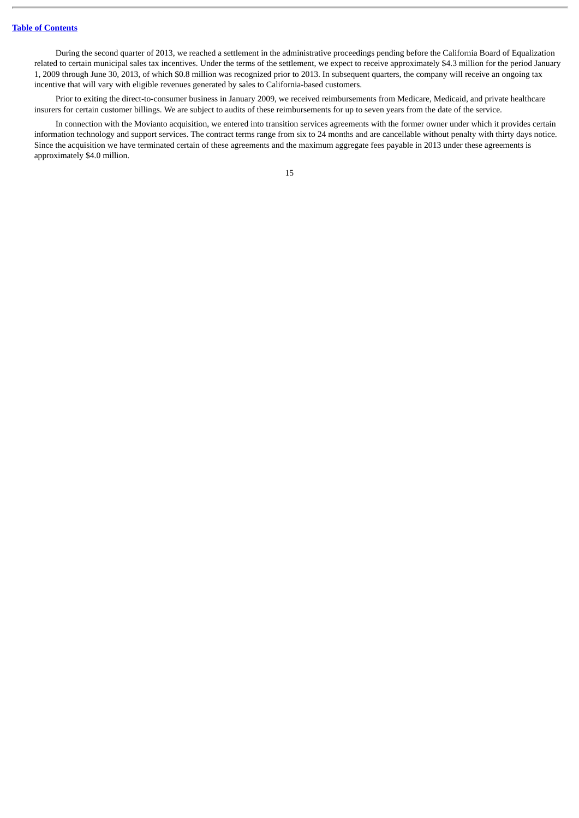During the second quarter of 2013, we reached a settlement in the administrative proceedings pending before the California Board of Equalization related to certain municipal sales tax incentives. Under the terms of the settlement, we expect to receive approximately \$4.3 million for the period January 1, 2009 through June 30, 2013, of which \$0.8 million was recognized prior to 2013. In subsequent quarters, the company will receive an ongoing tax incentive that will vary with eligible revenues generated by sales to California-based customers.

Prior to exiting the direct-to-consumer business in January 2009, we received reimbursements from Medicare, Medicaid, and private healthcare insurers for certain customer billings. We are subject to audits of these reimbursements for up to seven years from the date of the service.

In connection with the Movianto acquisition, we entered into transition services agreements with the former owner under which it provides certain information technology and support services. The contract terms range from six to 24 months and are cancellable without penalty with thirty days notice. Since the acquisition we have terminated certain of these agreements and the maximum aggregate fees payable in 2013 under these agreements is approximately \$4.0 million.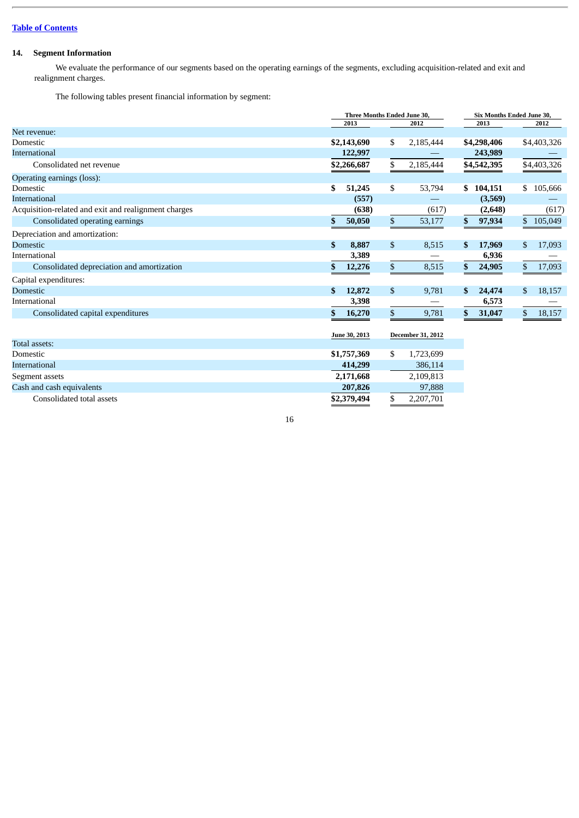### **14. Segment Information**

We evaluate the performance of our segments based on the operating earnings of the segments, excluding acquisition-related and exit and realignment charges.

The following tables present financial information by segment:

|                                                      |               | Three Months Ended June 30. | Six Months Ended June 30, |              |  |
|------------------------------------------------------|---------------|-----------------------------|---------------------------|--------------|--|
|                                                      | 2013          | 2012                        | 2013                      | 2012         |  |
| Net revenue:                                         |               |                             |                           |              |  |
| Domestic                                             | \$2,143,690   | 2,185,444<br>S              | \$4,298,406               | \$4,403,326  |  |
| International                                        | 122,997       |                             | 243,989                   |              |  |
| Consolidated net revenue                             | \$2,266,687   | \$<br>2,185,444             | \$4,542,395               | \$4,403,326  |  |
| Operating earnings (loss):                           |               |                             |                           |              |  |
| Domestic                                             | \$<br>51,245  | \$<br>53,794                | 104,151<br>\$             | \$105,666    |  |
| <b>International</b>                                 | (557)         |                             | (3,569)                   |              |  |
| Acquisition-related and exit and realignment charges | (638)         | (617)                       | (2,648)                   | (617)        |  |
| Consolidated operating earnings                      | 50,050<br>\$  | \$<br>53,177                | \$<br>97,934              | \$105,049    |  |
| Depreciation and amortization:                       |               |                             |                           |              |  |
| Domestic                                             | \$<br>8,887   | $\mathsf{\$}$<br>8,515      | \$<br>17,969              | 17,093<br>\$ |  |
| International                                        | 3,389         |                             | 6,936                     |              |  |
| Consolidated depreciation and amortization           | 12,276        | \$<br>8,515                 | 24,905<br>\$              | 17,093<br>\$ |  |
| Capital expenditures:                                |               |                             |                           |              |  |
| Domestic                                             | \$<br>12,872  | \$<br>9,781                 | 24,474<br>\$              | 18,157<br>\$ |  |
| <b>International</b>                                 | 3,398         |                             | 6,573                     |              |  |
| Consolidated capital expenditures                    | 16,270<br>\$  | \$<br>9,781                 | \$<br>31,047              | \$<br>18,157 |  |
|                                                      |               |                             |                           |              |  |
|                                                      | June 30, 2013 | December 31, 2012           |                           |              |  |
| Total assets:                                        |               |                             |                           |              |  |
| Domestic                                             | \$1,757,369   | \$<br>1,723,699             |                           |              |  |
| International                                        | 414,299       | 386,114                     |                           |              |  |
| Segment assets                                       | 2,171,668     | 2,109,813                   |                           |              |  |
| Cash and cash equivalents                            | 207,826       | 97,888                      |                           |              |  |
| Consolidated total assets                            | \$2,379,494   | \$<br>2,207,701             |                           |              |  |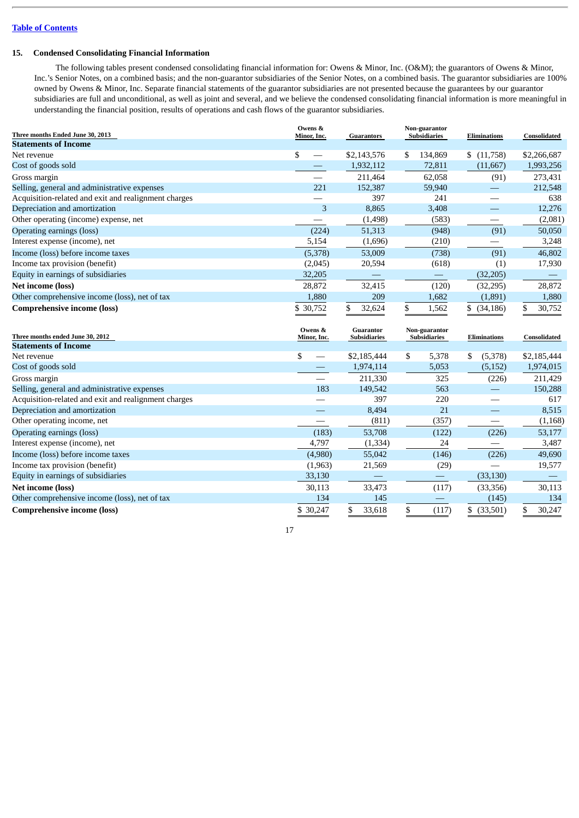### **15. Condensed Consolidating Financial Information**

The following tables present condensed consolidating financial information for: Owens & Minor, Inc. (O&M); the guarantors of Owens & Minor, Inc.'s Senior Notes, on a combined basis; and the non-guarantor subsidiaries of the Senior Notes, on a combined basis. The guarantor subsidiaries are 100% owned by Owens & Minor, Inc. Separate financial statements of the guarantor subsidiaries are not presented because the guarantees by our guarantor subsidiaries are full and unconditional, as well as joint and several, and we believe the condensed consolidating financial information is more meaningful in understanding the financial position, results of operations and cash flows of the guarantor subsidiaries.

| Three months Ended June 30, 2013                     | Owens &<br>Minor, Inc. | <b>Guarantors</b> | Non-guarantor<br><b>Subsidiaries</b> | <b>Eliminations</b> | Consolidated |
|------------------------------------------------------|------------------------|-------------------|--------------------------------------|---------------------|--------------|
| <b>Statements of Income</b>                          |                        |                   |                                      |                     |              |
| Net revenue                                          | \$<br>—<br>——          | \$2,143,576       | 134,869<br>\$                        | \$(11,758)          | \$2,266,687  |
| Cost of goods sold                                   |                        | 1,932,112         | 72,811                               | (11, 667)           | 1,993,256    |
| Gross margin                                         |                        | 211,464           | 62,058                               | (91)                | 273,431      |
| Selling, general and administrative expenses         | 221                    | 152,387           | 59,940                               |                     | 212,548      |
| Acquisition-related and exit and realignment charges |                        | 397               | 241                                  |                     | 638          |
| Depreciation and amortization                        | 3                      | 8,865             | 3,408                                |                     | 12,276       |
| Other operating (income) expense, net                |                        | (1,498)           | (583)                                |                     | (2,081)      |
| Operating earnings (loss)                            | (224)                  | 51,313            | (948)                                | (91)                | 50,050       |
| Interest expense (income), net                       | 5,154                  | (1,696)           | (210)                                |                     | 3,248        |
| Income (loss) before income taxes                    | (5,378)                | 53,009            | (738)                                | (91)                | 46,802       |
| Income tax provision (benefit)                       | (2,045)                | 20,594            | (618)                                | (1)                 | 17,930       |
| Equity in earnings of subsidiaries                   | 32,205                 |                   |                                      | (32, 205)           |              |
| Net income (loss)                                    | 28,872                 | 32,415            | (120)                                | (32, 295)           | 28,872       |
| Other comprehensive income (loss), net of tax        | 1,880                  | 209               | 1,682                                | (1,891)             | 1,880        |
| Comprehensive income (loss)                          | \$ 30,752              | 32,624            | 1,562                                | (34, 186)<br>S.     | 30,752       |

| Three months ended June 30, 2012                     | Owens &<br>Minor, Inc. | Guarantor<br><b>Subsidiaries</b> | Non-guarantor<br><b>Subsidiaries</b> | <b>Eliminations</b> | Consolidated |
|------------------------------------------------------|------------------------|----------------------------------|--------------------------------------|---------------------|--------------|
| <b>Statements of Income</b>                          |                        |                                  |                                      |                     |              |
| Net revenue                                          | \$                     | \$2,185,444                      | \$<br>5,378                          | \$<br>(5,378)       | \$2,185,444  |
| Cost of goods sold                                   |                        | 1,974,114                        | 5,053                                | (5, 152)            | 1,974,015    |
| Gross margin                                         |                        | 211,330                          | 325                                  | (226)               | 211,429      |
| Selling, general and administrative expenses         | 183                    | 149,542                          | 563                                  |                     | 150,288      |
| Acquisition-related and exit and realignment charges |                        | 397                              | 220                                  |                     | 617          |
| Depreciation and amortization                        |                        | 8,494                            | 21                                   |                     | 8,515        |
| Other operating income, net                          |                        | (811)                            | (357)                                |                     | (1, 168)     |
| Operating earnings (loss)                            | (183)                  | 53,708                           | (122)                                | (226)               | 53,177       |
| Interest expense (income), net                       | 4,797                  | (1, 334)                         | 24                                   |                     | 3,487        |
| Income (loss) before income taxes                    | (4,980)                | 55,042                           | (146)                                | (226)               | 49,690       |
| Income tax provision (benefit)                       | (1,963)                | 21,569                           | (29)                                 |                     | 19,577       |
| Equity in earnings of subsidiaries                   | 33,130                 |                                  |                                      | (33, 130)           |              |
| Net income (loss)                                    | 30,113                 | 33,473                           | (117)                                | (33,356)            | 30,113       |
| Other comprehensive income (loss), net of tax        | 134                    | 145                              |                                      | (145)               | 134          |
| Comprehensive income (loss)                          | \$ 30,247              | 33,618                           | (117)                                | $$$ (33,501)        | 30,247       |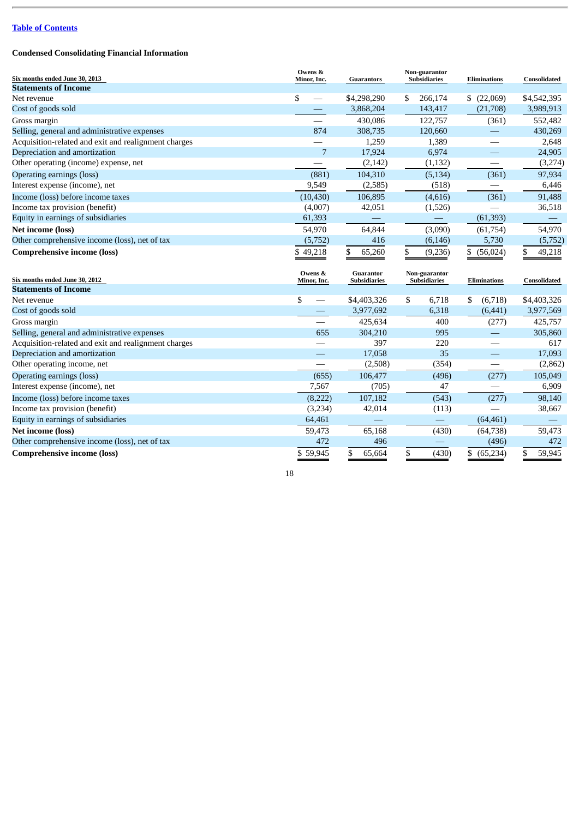### **Condensed Consolidating Financial Information**

| Six months ended June 30, 2013                       | Owens &<br>Minor, Inc.         | <b>Guarantors</b>                       | Non-guarantor<br><b>Subsidiaries</b> | <b>Eliminations</b> | Consolidated |
|------------------------------------------------------|--------------------------------|-----------------------------------------|--------------------------------------|---------------------|--------------|
| <b>Statements of Income</b>                          |                                |                                         |                                      |                     |              |
| Net revenue                                          | \$                             | \$4,298,290                             | \$<br>266,174                        | \$(22,069)          | \$4,542,395  |
| Cost of goods sold                                   |                                | 3,868,204                               | 143,417                              | (21,708)            | 3,989,913    |
| Gross margin                                         |                                | 430,086                                 | 122,757                              | (361)               | 552,482      |
| Selling, general and administrative expenses         | 874                            | 308,735                                 | 120,660                              |                     | 430,269      |
| Acquisition-related and exit and realignment charges |                                | 1,259                                   | 1,389                                |                     | 2,648        |
| Depreciation and amortization                        | 7                              | 17,924                                  | 6,974                                |                     | 24,905       |
| Other operating (income) expense, net                | $\overline{\phantom{0}}$       | (2, 142)                                | (1, 132)                             |                     | (3,274)      |
| Operating earnings (loss)                            | (881)                          | 104,310                                 | (5, 134)                             | (361)               | 97,934       |
| Interest expense (income), net                       | 9,549                          | (2,585)                                 | (518)                                |                     | 6,446        |
| Income (loss) before income taxes                    | (10, 430)                      | 106,895                                 | (4,616)                              | (361)               | 91,488       |
| Income tax provision (benefit)                       | (4,007)                        | 42,051                                  | (1,526)                              |                     | 36,518       |
| Equity in earnings of subsidiaries                   | 61,393                         |                                         |                                      | (61, 393)           |              |
| Net income (loss)                                    | 54,970                         | 64,844                                  | (3,090)                              | (61, 754)           | 54,970       |
| Other comprehensive income (loss), net of tax        | (5,752)                        | 416                                     | (6, 146)                             | 5,730               | (5,752)      |
| Comprehensive income (loss)                          | \$49,218                       | 65,260<br>\$                            | \$<br>(9,236)                        | \$<br>(56, 024)     | \$<br>49,218 |
|                                                      |                                |                                         |                                      |                     |              |
| Six months ended June 30, 2012                       | Owens &<br>Minor, Inc.         | <b>Guarantor</b><br><b>Subsidiaries</b> | Non-guarantor<br><b>Subsidiaries</b> | <b>Eliminations</b> | Consolidated |
| <b>Statements of Income</b>                          |                                |                                         |                                      |                     |              |
| Net revenue                                          | \$<br>$\overline{\phantom{0}}$ | \$4,403,326                             | \$<br>6,718                          | \$<br>(6,718)       | \$4,403,326  |
| Cost of goods sold                                   |                                | 3,977,692                               | 6,318                                | (6, 441)            | 3,977,569    |
| Gross margin                                         |                                | 425,634                                 | 400                                  | (277)               | 425,757      |
| Selling, general and administrative expenses         | 655                            | 304,210                                 | 995                                  |                     | 305,860      |
| Acquisition-related and exit and realignment charges |                                | 397                                     | 220                                  |                     | 617          |
| Depreciation and amortization                        |                                | 17,058                                  | 35                                   |                     | 17,093       |
| Other operating income, net                          |                                | (2,508)                                 | (354)                                |                     | (2,862)      |
| Operating earnings (loss)                            | (655)                          | 106,477                                 | (496)                                | (277)               | 105,049      |
| Interest expense (income), net                       | 7,567                          | (705)                                   | 47                                   |                     | 6,909        |
| Income (loss) before income taxes                    | (8,222)                        | 107,182                                 | (543)                                | (277)               | 98,140       |
| Income tax provision (benefit)                       | (3,234)                        | 42,014                                  | (113)                                |                     | 38,667       |
| Equity in earnings of subsidiaries                   | 64,461                         |                                         | $\overbrace{\phantom{aaaaa}}$        | (64, 461)           |              |
| Net income (loss)                                    | 59,473                         | 65,168                                  | (430)                                | (64, 738)           | 59,473       |
| Other comprehensive income (loss), net of tax        | 472                            | 496                                     |                                      | (496)               | 472          |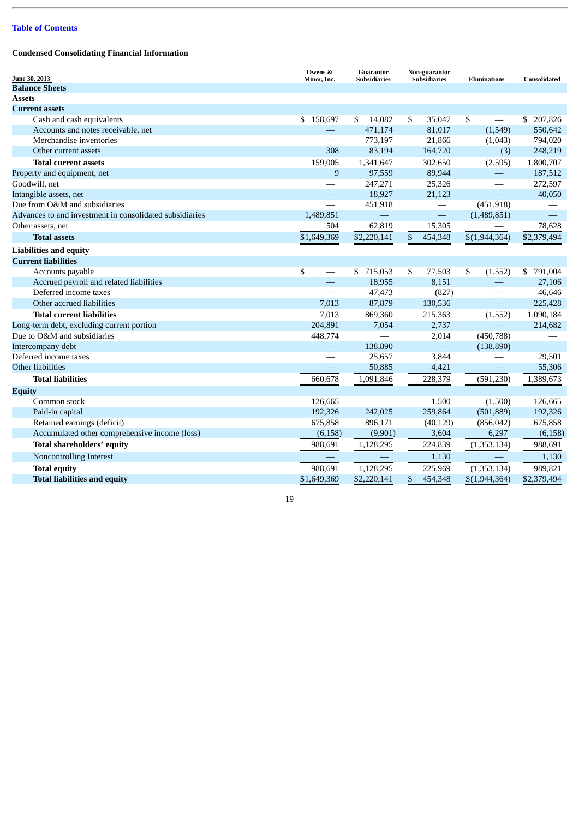### **Condensed Consolidating Financial Information**

| <b>June 30, 2013</b>                                    | Owens &<br>Minor, Inc.   | Guarantor<br><b>Subsidiaries</b> | Non-guarantor<br><b>Subsidiaries</b> | <b>Eliminations</b> | Consolidated  |
|---------------------------------------------------------|--------------------------|----------------------------------|--------------------------------------|---------------------|---------------|
| <b>Balance Sheets</b>                                   |                          |                                  |                                      |                     |               |
| Assets                                                  |                          |                                  |                                      |                     |               |
| <b>Current assets</b>                                   |                          |                                  |                                      |                     |               |
| Cash and cash equivalents                               | \$158,697                | 14,082<br>\$                     | 35,047<br>\$                         | \$                  | \$ 207,826    |
| Accounts and notes receivable, net                      |                          | 471,174                          | 81,017                               | (1,549)             | 550,642       |
| Merchandise inventories                                 |                          | 773,197                          | 21,866                               | (1,043)             | 794,020       |
| Other current assets                                    | 308                      | 83,194                           | 164,720                              | (3)                 | 248,219       |
| <b>Total current assets</b>                             | 159,005                  | 1,341,647                        | 302,650                              | (2, 595)            | 1,800,707     |
| Property and equipment, net                             | 9                        | 97,559                           | 89,944                               |                     | 187,512       |
| Goodwill, net                                           | $\overline{\phantom{0}}$ | 247,271                          | 25,326                               |                     | 272,597       |
| Intangible assets, net                                  |                          | 18,927                           | 21,123                               |                     | 40,050        |
| Due from O&M and subsidiaries                           | $\overline{\phantom{0}}$ | 451,918                          |                                      | (451, 918)          |               |
| Advances to and investment in consolidated subsidiaries | 1,489,851                | 二                                | $\qquad \qquad$                      | (1,489,851)         |               |
| Other assets, net                                       | 504                      | 62,819                           | 15,305                               |                     | 78,628        |
| <b>Total assets</b>                                     | \$1,649,369              | \$2,220,141                      | $\mathbb{S}$<br>454,348              | \$(1,944,364)       | \$2,379,494   |
| <b>Liabilities and equity</b>                           |                          |                                  |                                      |                     |               |
| <b>Current liabilities</b>                              |                          |                                  |                                      |                     |               |
| Accounts payable                                        | \$                       | \$715,053                        | \$<br>77,503                         | \$<br>(1, 552)      | \$<br>791,004 |
| Accrued payroll and related liabilities                 |                          | 18,955                           | 8,151                                |                     | 27,106        |
| Deferred income taxes                                   | $\overline{\phantom{0}}$ | 47,473                           | (827)                                |                     | 46,646        |
| Other accrued liabilities                               | 7,013                    | 87,879                           | 130,536                              |                     | 225,428       |
| <b>Total current liabilities</b>                        | 7,013                    | 869,360                          | 215,363                              | (1, 552)            | 1,090,184     |
| Long-term debt, excluding current portion               | 204,891                  | 7,054                            | 2,737                                |                     | 214,682       |
| Due to O&M and subsidiaries                             | 448,774                  |                                  | 2,014                                | (450, 788)          |               |
| Intercompany debt                                       | $\overline{\phantom{a}}$ | 138,890                          | $\equiv$                             | (138, 890)          |               |
| Deferred income taxes                                   | $\overline{\phantom{0}}$ | 25,657                           | 3,844                                |                     | 29,501        |
| Other liabilities                                       |                          | 50,885                           | 4,421                                |                     | 55,306        |
| <b>Total liabilities</b>                                | 660,678                  | 1,091,846                        | 228,379                              | (591, 230)          | 1,389,673     |
| <b>Equity</b>                                           |                          |                                  |                                      |                     |               |
| Common stock                                            | 126,665                  |                                  | 1,500                                | (1,500)             | 126,665       |
| Paid-in capital                                         | 192,326                  | 242,025                          | 259,864                              | (501, 889)          | 192,326       |
| Retained earnings (deficit)                             | 675,858                  | 896,171                          | (40, 129)                            | (856, 042)          | 675,858       |
| Accumulated other comprehensive income (loss)           | (6, 158)                 | (9,901)                          | 3,604                                | 6,297               | (6, 158)      |
| <b>Total shareholders' equity</b>                       | 988,691                  | 1,128,295                        | 224,839                              | (1,353,134)         | 988,691       |
| Noncontrolling Interest                                 |                          |                                  | 1,130                                |                     | 1,130         |
| <b>Total equity</b>                                     | 988,691                  | 1,128,295                        | 225,969                              | (1,353,134)         | 989,821       |
| <b>Total liabilities and equity</b>                     | \$1,649,369              | \$2,220,141                      | \$<br>454,348                        | \$(1,944,364)       | \$2,379,494   |

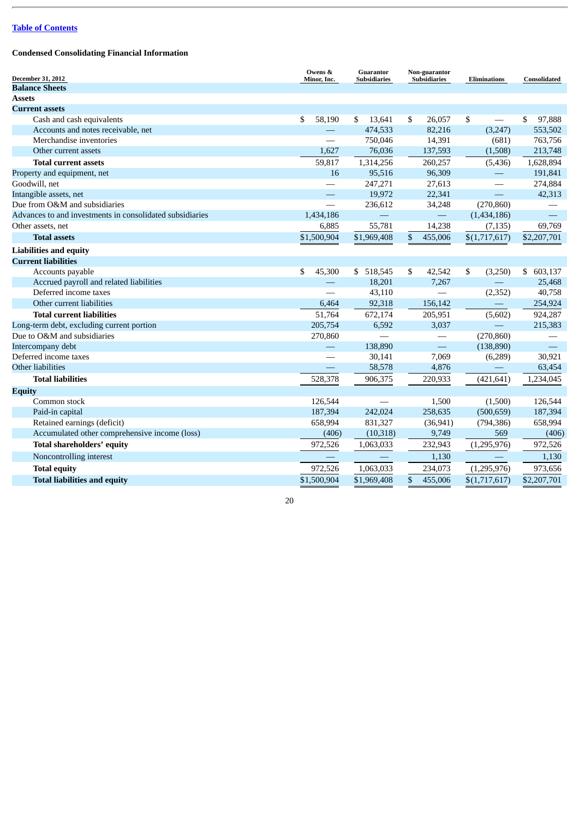### **Condensed Consolidating Financial Information**

| <b>December 31, 2012</b>                                 | Owens &<br>Minor, Inc.   | Guarantor<br><b>Subsidiaries</b> | Non-guarantor<br><b>Subsidiaries</b> | <b>Eliminations</b>            | Consolidated |
|----------------------------------------------------------|--------------------------|----------------------------------|--------------------------------------|--------------------------------|--------------|
| <b>Balance Sheets</b>                                    |                          |                                  |                                      |                                |              |
| <b>Assets</b>                                            |                          |                                  |                                      |                                |              |
| <b>Current assets</b>                                    |                          |                                  |                                      |                                |              |
| Cash and cash equivalents                                | 58,190<br>\$             | \$<br>13,641                     | \$<br>26,057                         | \$<br>$\overline{\phantom{0}}$ | 97,888<br>\$ |
| Accounts and notes receivable, net                       |                          | 474.533                          | 82.216                               | (3,247)                        | 553,502      |
| Merchandise inventories                                  |                          | 750,046                          | 14,391                               | (681)                          | 763,756      |
| Other current assets                                     | 1,627                    | 76,036                           | 137,593                              | (1,508)                        | 213,748      |
| <b>Total current assets</b>                              | 59,817                   | 1,314,256                        | 260,257                              | (5, 436)                       | 1,628,894    |
| Property and equipment, net                              | 16                       | 95,516                           | 96,309                               |                                | 191,841      |
| Goodwill, net                                            | $\overline{\phantom{0}}$ | 247,271                          | 27,613                               |                                | 274,884      |
| Intangible assets, net                                   | $\overline{\phantom{0}}$ | 19,972                           | 22,341                               | $\equiv$                       | 42,313       |
| Due from O&M and subsidiaries                            |                          | 236,612                          | 34,248                               | (270, 860)                     |              |
| Advances to and investments in consolidated subsidiaries | 1,434,186                | $\equiv$                         | $\qquad \qquad -$                    | (1,434,186)                    | $\equiv$     |
| Other assets, net                                        | 6,885                    | 55,781                           | 14,238                               | (7, 135)                       | 69,769       |
| <b>Total assets</b>                                      | \$1,500,904              | \$1,969,408                      | \$<br>455,006                        | \$(1,717,617)                  | \$2,207,701  |
| <b>Liabilities and equity</b>                            |                          |                                  |                                      |                                |              |
| <b>Current liabilities</b>                               |                          |                                  |                                      |                                |              |
| Accounts payable                                         | 45,300<br>\$             | \$ 518,545                       | \$<br>42,542                         | \$<br>(3,250)                  | \$ 603,137   |
| Accrued payroll and related liabilities                  |                          | 18,201                           | 7,267                                |                                | 25,468       |
| Deferred income taxes                                    |                          | 43,110                           |                                      | (2, 352)                       | 40,758       |
| Other current liabilities                                | 6,464                    | 92,318                           | 156,142                              |                                | 254,924      |
| <b>Total current liabilities</b>                         | 51,764                   | 672,174                          | 205,951                              | (5,602)                        | 924,287      |
| Long-term debt, excluding current portion                | 205,754                  | 6,592                            | 3,037                                | $\qquad \qquad =$              | 215,383      |
| Due to O&M and subsidiaries                              | 270,860                  |                                  |                                      | (270, 860)                     |              |
| Intercompany debt                                        |                          | 138,890                          | $\equiv$                             | (138, 890)                     | $\equiv$     |
| Deferred income taxes                                    | $\overline{\phantom{0}}$ | 30,141                           | 7,069                                | (6,289)                        | 30,921       |
| Other liabilities                                        | $\qquad \qquad -$        | 58,578                           | 4,876                                |                                | 63,454       |
| <b>Total liabilities</b>                                 | 528,378                  | 906,375                          | 220,933                              | (421, 641)                     | 1,234,045    |
| <b>Equity</b>                                            |                          |                                  |                                      |                                |              |
| Common stock                                             | 126,544                  |                                  | 1,500                                | (1,500)                        | 126,544      |
| Paid-in capital                                          | 187,394                  | 242,024                          | 258,635                              | (500, 659)                     | 187,394      |
| Retained earnings (deficit)                              | 658,994                  | 831,327                          | (36, 941)                            | (794, 386)                     | 658,994      |
| Accumulated other comprehensive income (loss)            | (406)                    | (10, 318)                        | 9,749                                | 569                            | (406)        |
| <b>Total shareholders' equity</b>                        | 972,526                  | 1,063,033                        | 232,943                              | (1,295,976)                    | 972,526      |
| Noncontrolling interest                                  |                          |                                  | 1,130                                |                                | 1,130        |
| <b>Total equity</b>                                      | 972,526                  | 1,063,033                        | 234,073                              | (1,295,976)                    | 973,656      |
| <b>Total liabilities and equity</b>                      | \$1,500,904              | \$1,969,408                      | \$<br>455,006                        | \$(1,717,617)                  | \$2,207,701  |
|                                                          |                          |                                  |                                      |                                |              |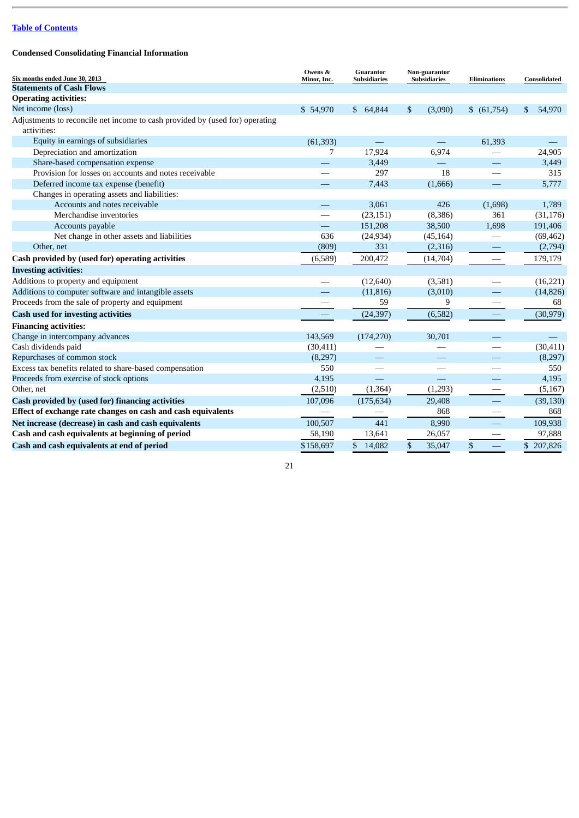### **Condensed Consolidating Financial Information**

| Six months ended June 30, 2013                                               | Owens &<br>Minor, Inc.   | Guarantor<br><b>Subsidiaries</b> | Non-guarantor<br><b>Subsidiaries</b> | <b>Eliminations</b>      | Consolidated             |
|------------------------------------------------------------------------------|--------------------------|----------------------------------|--------------------------------------|--------------------------|--------------------------|
| <b>Statements of Cash Flows</b>                                              |                          |                                  |                                      |                          |                          |
| <b>Operating activities:</b>                                                 |                          |                                  |                                      |                          |                          |
| Net income (loss)                                                            | \$54,970                 | \$64,844                         | \$<br>(3,090)                        | \$ (61,754)              | $\mathfrak{S}$<br>54,970 |
| Adjustments to reconcile net income to cash provided by (used for) operating |                          |                                  |                                      |                          |                          |
| activities:                                                                  |                          |                                  |                                      |                          |                          |
| Equity in earnings of subsidiaries                                           | (61, 393)                |                                  |                                      | 61,393                   |                          |
| Depreciation and amortization                                                | 7                        | 17,924                           | 6,974                                |                          | 24,905                   |
| Share-based compensation expense                                             |                          | 3,449                            |                                      |                          | 3,449                    |
| Provision for losses on accounts and notes receivable                        |                          | 297                              | 18                                   |                          | 315                      |
| Deferred income tax expense (benefit)                                        |                          | 7,443                            | (1,666)                              |                          | 5,777                    |
| Changes in operating assets and liabilities:                                 |                          |                                  |                                      |                          |                          |
| Accounts and notes receivable                                                |                          | 3,061                            | 426                                  | (1,698)                  | 1,789                    |
| Merchandise inventories                                                      |                          | (23, 151)                        | (8, 386)                             | 361                      | (31, 176)                |
| Accounts payable                                                             | $\overline{\phantom{0}}$ | 151,208                          | 38,500                               | 1,698                    | 191,406                  |
| Net change in other assets and liabilities                                   | 636                      | (24, 934)                        | (45, 164)                            |                          | (69, 462)                |
| Other, net                                                                   | (809)                    | 331                              | (2,316)                              | $\overline{\phantom{0}}$ | (2,794)                  |
| Cash provided by (used for) operating activities                             | (6,589)                  | 200,472                          | (14, 704)                            |                          | 179,179                  |
| <b>Investing activities:</b>                                                 |                          |                                  |                                      |                          |                          |
| Additions to property and equipment                                          |                          | (12, 640)                        | (3,581)                              |                          | (16, 221)                |
| Additions to computer software and intangible assets                         |                          | (11, 816)                        | (3,010)                              |                          | (14, 826)                |
| Proceeds from the sale of property and equipment                             |                          | 59                               | 9                                    |                          | 68                       |
| <b>Cash used for investing activities</b>                                    | $\frac{1}{2}$            | (24, 397)                        | (6,582)                              |                          | (30, 979)                |
| <b>Financing activities:</b>                                                 |                          |                                  |                                      |                          |                          |
| Change in intercompany advances                                              | 143,569                  | (174, 270)                       | 30,701                               |                          |                          |
| Cash dividends paid                                                          | (30, 411)                |                                  |                                      |                          | (30, 411)                |
| Repurchases of common stock                                                  | (8,297)                  |                                  |                                      |                          | (8,297)                  |
| Excess tax benefits related to share-based compensation                      | 550                      |                                  |                                      |                          | 550                      |
| Proceeds from exercise of stock options                                      | 4,195                    |                                  | $\overline{\phantom{0}}$             |                          | 4,195                    |
| Other, net                                                                   | (2,510)                  | (1, 364)                         | (1,293)                              |                          | (5, 167)                 |
| Cash provided by (used for) financing activities                             | 107,096                  | (175, 634)                       | 29,408                               |                          | (39, 130)                |
| Effect of exchange rate changes on cash and cash equivalents                 |                          |                                  | 868                                  |                          | 868                      |
| Net increase (decrease) in cash and cash equivalents                         | 100,507                  | 441                              | 8,990                                |                          | 109,938                  |
| Cash and cash equivalents at beginning of period                             | 58,190                   | 13,641                           | 26,057                               |                          | 97,888                   |
| Cash and cash equivalents at end of period                                   | \$158,697                | \$14,082                         | \$<br>35,047                         | \$<br>二                  | \$207,826                |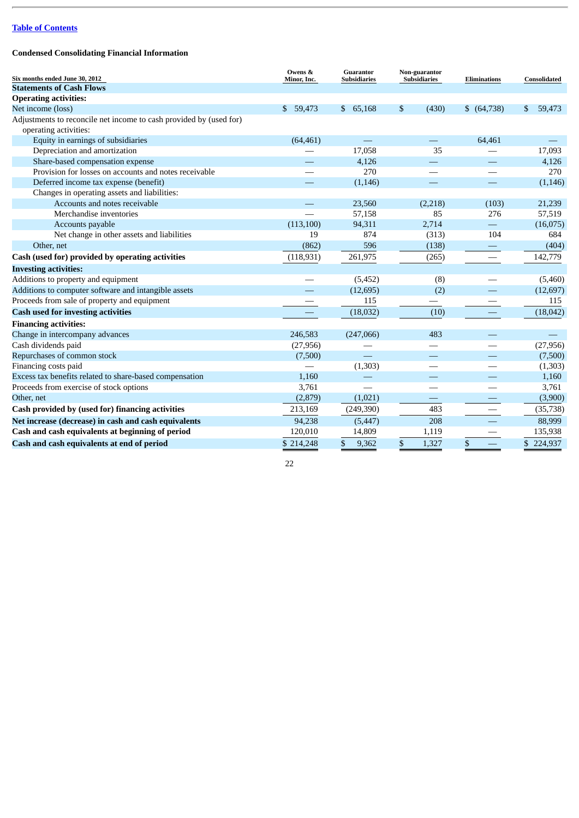### **Condensed Consolidating Financial Information**

| Six months ended June 30, 2012                                     | Owens &<br>Minor, Inc. | <b>Guarantor</b><br><b>Subsidiaries</b> | Non-guarantor<br><b>Subsidiaries</b> | <b>Eliminations</b> | Consolidated |
|--------------------------------------------------------------------|------------------------|-----------------------------------------|--------------------------------------|---------------------|--------------|
| <b>Statements of Cash Flows</b>                                    |                        |                                         |                                      |                     |              |
| <b>Operating activities:</b>                                       |                        |                                         |                                      |                     |              |
| Net income (loss)                                                  | \$59,473               | \$65,168                                | \$<br>(430)                          | \$ (64,738)         | \$<br>59,473 |
| Adjustments to reconcile net income to cash provided by (used for) |                        |                                         |                                      |                     |              |
| operating activities:                                              |                        |                                         |                                      |                     |              |
| Equity in earnings of subsidiaries                                 | (64, 461)              |                                         |                                      | 64,461              |              |
| Depreciation and amortization                                      |                        | 17,058                                  | 35                                   |                     | 17,093       |
| Share-based compensation expense                                   |                        | 4,126                                   |                                      |                     | 4,126        |
| Provision for losses on accounts and notes receivable              |                        | 270                                     |                                      |                     | 270          |
| Deferred income tax expense (benefit)                              |                        | (1, 146)                                |                                      |                     | (1, 146)     |
| Changes in operating assets and liabilities:                       |                        |                                         |                                      |                     |              |
| Accounts and notes receivable                                      |                        | 23,560                                  | (2,218)                              | (103)               | 21,239       |
| Merchandise inventories                                            |                        | 57,158                                  | 85                                   | 276                 | 57,519       |
| Accounts payable                                                   | (113,100)              | 94,311                                  | 2,714                                |                     | (16,075)     |
| Net change in other assets and liabilities                         | 19                     | 874                                     | (313)                                | 104                 | 684          |
| Other, net                                                         | (862)                  | 596                                     | (138)                                |                     | (404)        |
| Cash (used for) provided by operating activities                   | (118, 931)             | 261,975                                 | (265)                                |                     | 142,779      |
| <b>Investing activities:</b>                                       |                        |                                         |                                      |                     |              |
| Additions to property and equipment                                |                        | (5, 452)                                | (8)                                  |                     | (5,460)      |
| Additions to computer software and intangible assets               |                        | (12, 695)                               | (2)                                  |                     | (12, 697)    |
| Proceeds from sale of property and equipment                       |                        | 115                                     |                                      |                     | 115          |
| <b>Cash used for investing activities</b>                          |                        | (18, 032)                               | (10)                                 |                     | (18, 042)    |
| <b>Financing activities:</b>                                       |                        |                                         |                                      |                     |              |
| Change in intercompany advances                                    | 246,583                | (247,066)                               | 483                                  |                     |              |
| Cash dividends paid                                                | (27, 956)              |                                         |                                      |                     | (27, 956)    |
| Repurchases of common stock                                        | (7,500)                |                                         |                                      |                     | (7,500)      |
| Financing costs paid                                               |                        | (1, 303)                                |                                      |                     | (1,303)      |
| Excess tax benefits related to share-based compensation            | 1,160                  |                                         |                                      |                     | 1,160        |
| Proceeds from exercise of stock options                            | 3,761                  |                                         |                                      |                     | 3,761        |
| Other, net                                                         | (2,879)                | (1,021)                                 |                                      |                     | (3,900)      |
| Cash provided by (used for) financing activities                   | 213,169                | (249,390)                               | 483                                  |                     | (35,738)     |
| Net increase (decrease) in cash and cash equivalents               | 94,238                 | (5, 447)                                | 208                                  |                     | 88,999       |
| Cash and cash equivalents at beginning of period                   | 120,010                | 14,809                                  | 1,119                                |                     | 135,938      |
| Cash and cash equivalents at end of period                         | \$214,248              | \$<br>9,362                             | \$<br>1,327                          | \$                  | \$224,937    |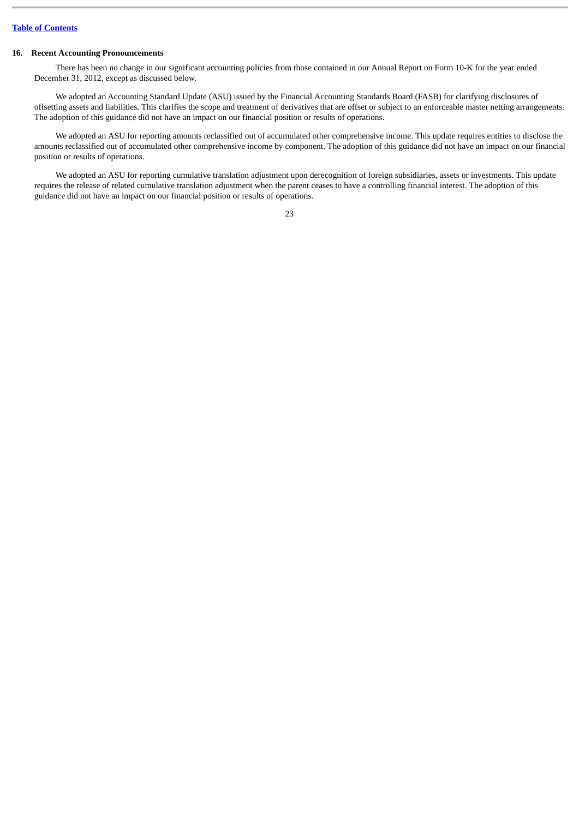#### **16. Recent Accounting Pronouncements**

There has been no change in our significant accounting policies from those contained in our Annual Report on Form 10-K for the year ended December 31, 2012, except as discussed below.

We adopted an Accounting Standard Update (ASU) issued by the Financial Accounting Standards Board (FASB) for clarifying disclosures of offsetting assets and liabilities. This clarifies the scope and treatment of derivatives that are offset or subject to an enforceable master netting arrangements. The adoption of this guidance did not have an impact on our financial position or results of operations.

We adopted an ASU for reporting amounts reclassified out of accumulated other comprehensive income. This update requires entities to disclose the amounts reclassified out of accumulated other comprehensive income by component. The adoption of this guidance did not have an impact on our financial position or results of operations.

We adopted an ASU for reporting cumulative translation adjustment upon derecognition of foreign subsidiaries, assets or investments. This update requires the release of related cumulative translation adjustment when the parent ceases to have a controlling financial interest. The adoption of this guidance did not have an impact on our financial position or results of operations.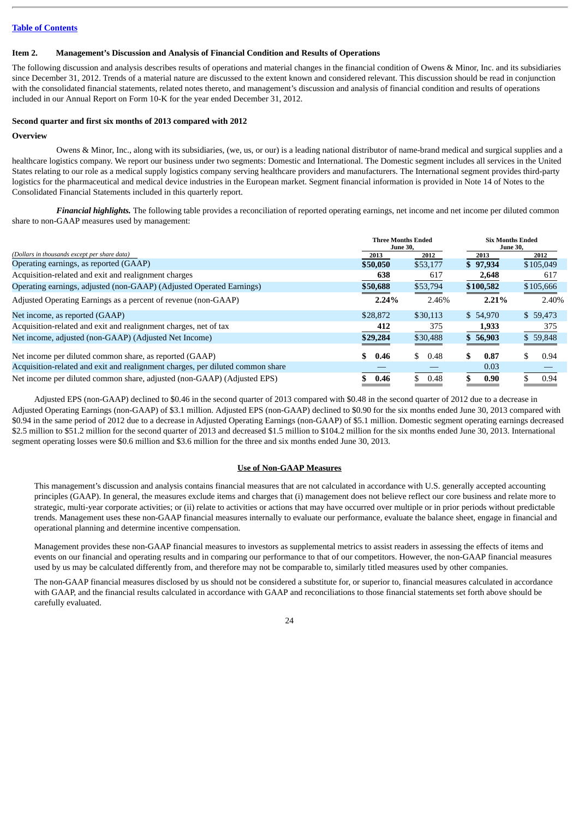#### <span id="page-23-0"></span>**Item 2. Management's Discussion and Analysis of Financial Condition and Results of Operations**

The following discussion and analysis describes results of operations and material changes in the financial condition of Owens & Minor, Inc. and its subsidiaries since December 31, 2012. Trends of a material nature are discussed to the extent known and considered relevant. This discussion should be read in conjunction with the consolidated financial statements, related notes thereto, and management's discussion and analysis of financial condition and results of operations included in our Annual Report on Form 10-K for the year ended December 31, 2012.

### **Second quarter and first six months of 2013 compared with 2012**

### **Overview**

Owens & Minor, Inc., along with its subsidiaries, (we, us, or our) is a leading national distributor of name-brand medical and surgical supplies and a healthcare logistics company. We report our business under two segments: Domestic and International. The Domestic segment includes all services in the United States relating to our role as a medical supply logistics company serving healthcare providers and manufacturers. The International segment provides third-party logistics for the pharmaceutical and medical device industries in the European market. Segment financial information is provided in Note 14 of Notes to the Consolidated Financial Statements included in this quarterly report.

*Financial highlights.* The following table provides a reconciliation of reported operating earnings, net income and net income per diluted common share to non-GAAP measures used by management:

|                                                                                                                                                           | <b>Three Months Ended</b><br><b>June 30,</b> |             | <b>Six Months Ended</b><br><b>June 30,</b> |           |
|-----------------------------------------------------------------------------------------------------------------------------------------------------------|----------------------------------------------|-------------|--------------------------------------------|-----------|
| (Dollars in thousands except per share data)                                                                                                              | 2013                                         | 2012        | 2013                                       | 2012      |
| Operating earnings, as reported (GAAP)                                                                                                                    | \$50,050                                     | \$53,177    | \$97,934                                   | \$105,049 |
| Acquisition-related and exit and realignment charges                                                                                                      | 638                                          | 617         | 2,648                                      | 617       |
| Operating earnings, adjusted (non-GAAP) (Adjusted Operated Earnings)                                                                                      | \$50,688                                     | \$53,794    | \$100,582                                  | \$105,666 |
| Adjusted Operating Earnings as a percent of revenue (non-GAAP)                                                                                            | 2.24%                                        | 2.46%       | 2.21%                                      | 2.40%     |
| Net income, as reported (GAAP)                                                                                                                            | \$28,872                                     | \$30,113    | \$54,970                                   | \$59,473  |
| Acquisition-related and exit and realignment charges, net of tax                                                                                          | 412                                          | 375         | 1,933                                      | 375       |
| Net income, adjusted (non-GAAP) (Adjusted Net Income)                                                                                                     | \$29,284                                     | \$30,488    | \$56,903                                   | \$59,848  |
| Net income per diluted common share, as reported (GAAP)                                                                                                   | \$<br>0.46                                   | \$.<br>0.48 | \$<br>0.87<br>0.03                         | 0.94<br>S |
| Acquisition-related and exit and realignment charges, per diluted common share<br>Net income per diluted common share, adjusted (non-GAAP) (Adjusted EPS) | 0.46                                         | 0.48        | 0.90                                       | 0.94      |

Adjusted EPS (non-GAAP) declined to \$0.46 in the second quarter of 2013 compared with \$0.48 in the second quarter of 2012 due to a decrease in Adjusted Operating Earnings (non-GAAP) of \$3.1 million. Adjusted EPS (non-GAAP) declined to \$0.90 for the six months ended June 30, 2013 compared with \$0.94 in the same period of 2012 due to a decrease in Adjusted Operating Earnings (non-GAAP) of \$5.1 million. Domestic segment operating earnings decreased \$2.5 million to \$51.2 million for the second quarter of 2013 and decreased \$1.5 million to \$104.2 million for the six months ended June 30, 2013. International segment operating losses were \$0.6 million and \$3.6 million for the three and six months ended June 30, 2013.

#### **Use of Non-GAAP Measures**

This management's discussion and analysis contains financial measures that are not calculated in accordance with U.S. generally accepted accounting principles (GAAP). In general, the measures exclude items and charges that (i) management does not believe reflect our core business and relate more to strategic, multi-year corporate activities; or (ii) relate to activities or actions that may have occurred over multiple or in prior periods without predictable trends. Management uses these non-GAAP financial measures internally to evaluate our performance, evaluate the balance sheet, engage in financial and operational planning and determine incentive compensation.

Management provides these non-GAAP financial measures to investors as supplemental metrics to assist readers in assessing the effects of items and events on our financial and operating results and in comparing our performance to that of our competitors. However, the non-GAAP financial measures used by us may be calculated differently from, and therefore may not be comparable to, similarly titled measures used by other companies.

The non-GAAP financial measures disclosed by us should not be considered a substitute for, or superior to, financial measures calculated in accordance with GAAP, and the financial results calculated in accordance with GAAP and reconciliations to those financial statements set forth above should be carefully evaluated.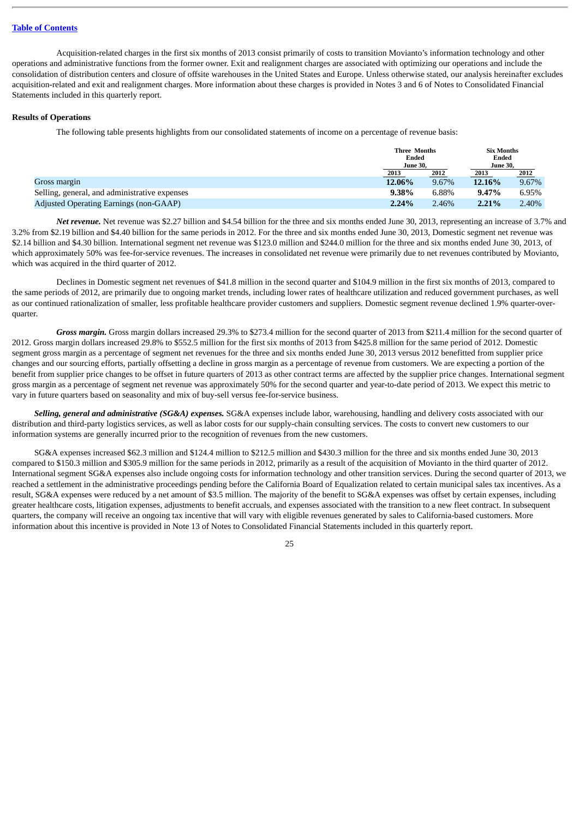Acquisition-related charges in the first six months of 2013 consist primarily of costs to transition Movianto's information technology and other operations and administrative functions from the former owner. Exit and realignment charges are associated with optimizing our operations and include the consolidation of distribution centers and closure of offsite warehouses in the United States and Europe. Unless otherwise stated, our analysis hereinafter excludes acquisition-related and exit and realignment charges. More information about these charges is provided in Notes 3 and 6 of Notes to Consolidated Financial Statements included in this quarterly report.

#### **Results of Operations**

The following table presents highlights from our consolidated statements of income on a percentage of revenue basis:

|                                               | <b>Three Months</b><br>Ended |       | <b>Six Months</b><br>Ended |       |
|-----------------------------------------------|------------------------------|-------|----------------------------|-------|
|                                               |                              |       |                            |       |
|                                               | <b>June 30.</b>              |       | <b>June 30.</b>            |       |
|                                               | 2013                         | 2012  | 2013                       | 2012  |
| Gross margin                                  | 12.06%                       | 9.67% | 12.16%                     | 9.67% |
| Selling, general, and administrative expenses | 9.38%                        | 6.88% | 9.47%                      | 6.95% |
| <b>Adjusted Operating Earnings (non-GAAP)</b> | 2.24%                        | 2.46% | 2.21%                      | 2.40% |

*Net revenue.* Net revenue was \$2.27 billion and \$4.54 billion for the three and six months ended June 30, 2013, representing an increase of 3.7% and 3.2% from \$2.19 billion and \$4.40 billion for the same periods in 2012. For the three and six months ended June 30, 2013, Domestic segment net revenue was \$2.14 billion and \$4.30 billion. International segment net revenue was \$123.0 million and \$244.0 million for the three and six months ended June 30, 2013, of which approximately 50% was fee-for-service revenues. The increases in consolidated net revenue were primarily due to net revenues contributed by Movianto, which was acquired in the third quarter of 2012.

Declines in Domestic segment net revenues of \$41.8 million in the second quarter and \$104.9 million in the first six months of 2013, compared to the same periods of 2012, are primarily due to ongoing market trends, including lower rates of healthcare utilization and reduced government purchases, as well as our continued rationalization of smaller, less profitable healthcare provider customers and suppliers. Domestic segment revenue declined 1.9% quarter-overquarter.

*Gross margin.* Gross margin dollars increased 29.3% to \$273.4 million for the second quarter of 2013 from \$211.4 million for the second quarter of 2012. Gross margin dollars increased 29.8% to \$552.5 million for the first six months of 2013 from \$425.8 million for the same period of 2012. Domestic segment gross margin as a percentage of segment net revenues for the three and six months ended June 30, 2013 versus 2012 benefitted from supplier price changes and our sourcing efforts, partially offsetting a decline in gross margin as a percentage of revenue from customers. We are expecting a portion of the benefit from supplier price changes to be offset in future quarters of 2013 as other contract terms are affected by the supplier price changes. International segment gross margin as a percentage of segment net revenue was approximately 50% for the second quarter and year-to-date period of 2013. We expect this metric to vary in future quarters based on seasonality and mix of buy-sell versus fee-for-service business.

*Selling, general and administrative (SG&A) expenses.* SG&A expenses include labor, warehousing, handling and delivery costs associated with our distribution and third-party logistics services, as well as labor costs for our supply-chain consulting services. The costs to convert new customers to our information systems are generally incurred prior to the recognition of revenues from the new customers.

SG&A expenses increased \$62.3 million and \$124.4 million to \$212.5 million and \$430.3 million for the three and six months ended June 30, 2013 compared to \$150.3 million and \$305.9 million for the same periods in 2012, primarily as a result of the acquisition of Movianto in the third quarter of 2012. International segment SG&A expenses also include ongoing costs for information technology and other transition services. During the second quarter of 2013, we reached a settlement in the administrative proceedings pending before the California Board of Equalization related to certain municipal sales tax incentives. As a result, SG&A expenses were reduced by a net amount of \$3.5 million. The majority of the benefit to SG&A expenses was offset by certain expenses, including greater healthcare costs, litigation expenses, adjustments to benefit accruals, and expenses associated with the transition to a new fleet contract. In subsequent quarters, the company will receive an ongoing tax incentive that will vary with eligible revenues generated by sales to California-based customers. More information about this incentive is provided in Note 13 of Notes to Consolidated Financial Statements included in this quarterly report.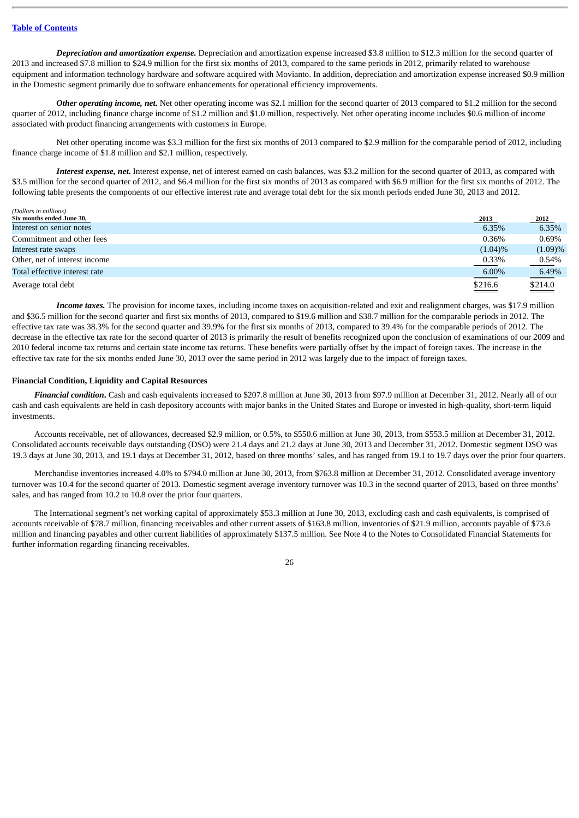*Depreciation and amortization expense.* Depreciation and amortization expense increased \$3.8 million to \$12.3 million for the second quarter of 2013 and increased \$7.8 million to \$24.9 million for the first six months of 2013, compared to the same periods in 2012, primarily related to warehouse equipment and information technology hardware and software acquired with Movianto. In addition, depreciation and amortization expense increased \$0.9 million in the Domestic segment primarily due to software enhancements for operational efficiency improvements.

*Other operating income, net.* Net other operating income was \$2.1 million for the second quarter of 2013 compared to \$1.2 million for the second quarter of 2012, including finance charge income of \$1.2 million and \$1.0 million, respectively. Net other operating income includes \$0.6 million of income associated with product financing arrangements with customers in Europe.

Net other operating income was \$3.3 million for the first six months of 2013 compared to \$2.9 million for the comparable period of 2012, including finance charge income of \$1.8 million and \$2.1 million, respectively.

*Interest expense, net***.** Interest expense, net of interest earned on cash balances, was \$3.2 million for the second quarter of 2013, as compared with \$3.5 million for the second quarter of 2012, and \$6.4 million for the first six months of 2013 as compared with \$6.9 million for the first six months of 2012. The following table presents the components of our effective interest rate and average total debt for the six month periods ended June 30, 2013 and 2012.

| (Dollars in millions)         |                                                                                                                                                                                                                                                 |                                 |
|-------------------------------|-------------------------------------------------------------------------------------------------------------------------------------------------------------------------------------------------------------------------------------------------|---------------------------------|
| Six months ended June 30,     | 2013                                                                                                                                                                                                                                            | 2012                            |
| Interest on senior notes      | 6.35%                                                                                                                                                                                                                                           | 6.35%                           |
| Commitment and other fees     | 0.36%                                                                                                                                                                                                                                           | 0.69%                           |
| Interest rate swaps           | $(1.04)\%$                                                                                                                                                                                                                                      | $(1.09)\%$                      |
| Other, net of interest income | 0.33%                                                                                                                                                                                                                                           | 0.54%                           |
| Total effective interest rate | 6.00%                                                                                                                                                                                                                                           | 6.49%                           |
| Average total debt            | <u>a shekara ta 1999 ya shekara ta 1999 ya shekara ta 1999 ya shekara ta 1999 ya shekara ta 1999 ya shekara ta 1999 ya shekara ta 1999 ya shekara ta 1999 ya shekara ta 1999 ya shekara ta 1999 ya shekara ta 1999 ya shekara ta</u><br>\$216.6 | $\sim$ $\sim$ $\sim$<br>\$214.0 |

*Income taxes*. The provision for income taxes, including income taxes on acquisition-related and exit and realignment charges, was \$17.9 million and \$36.5 million for the second quarter and first six months of 2013, compared to \$19.6 million and \$38.7 million for the comparable periods in 2012. The effective tax rate was 38.3% for the second quarter and 39.9% for the first six months of 2013, compared to 39.4% for the comparable periods of 2012. The decrease in the effective tax rate for the second quarter of 2013 is primarily the result of benefits recognized upon the conclusion of examinations of our 2009 and 2010 federal income tax returns and certain state income tax returns. These benefits were partially offset by the impact of foreign taxes. The increase in the effective tax rate for the six months ended June 30, 2013 over the same period in 2012 was largely due to the impact of foreign taxes.

### **Financial Condition, Liquidity and Capital Resources**

Financial condition. Cash and cash equivalents increased to \$207.8 million at June 30, 2013 from \$97.9 million at December 31, 2012. Nearly all of our cash and cash equivalents are held in cash depository accounts with major banks in the United States and Europe or invested in high-quality, short-term liquid investments.

Accounts receivable, net of allowances, decreased \$2.9 million, or 0.5%, to \$550.6 million at June 30, 2013, from \$553.5 million at December 31, 2012. Consolidated accounts receivable days outstanding (DSO) were 21.4 days and 21.2 days at June 30, 2013 and December 31, 2012. Domestic segment DSO was 19.3 days at June 30, 2013, and 19.1 days at December 31, 2012, based on three months' sales, and has ranged from 19.1 to 19.7 days over the prior four quarters.

Merchandise inventories increased 4.0% to \$794.0 million at June 30, 2013, from \$763.8 million at December 31, 2012. Consolidated average inventory turnover was 10.4 for the second quarter of 2013. Domestic segment average inventory turnover was 10.3 in the second quarter of 2013, based on three months' sales, and has ranged from 10.2 to 10.8 over the prior four quarters.

The International segment's net working capital of approximately \$53.3 million at June 30, 2013, excluding cash and cash equivalents, is comprised of accounts receivable of \$78.7 million, financing receivables and other current assets of \$163.8 million, inventories of \$21.9 million, accounts payable of \$73.6 million and financing payables and other current liabilities of approximately \$137.5 million. See Note 4 to the Notes to Consolidated Financial Statements for further information regarding financing receivables.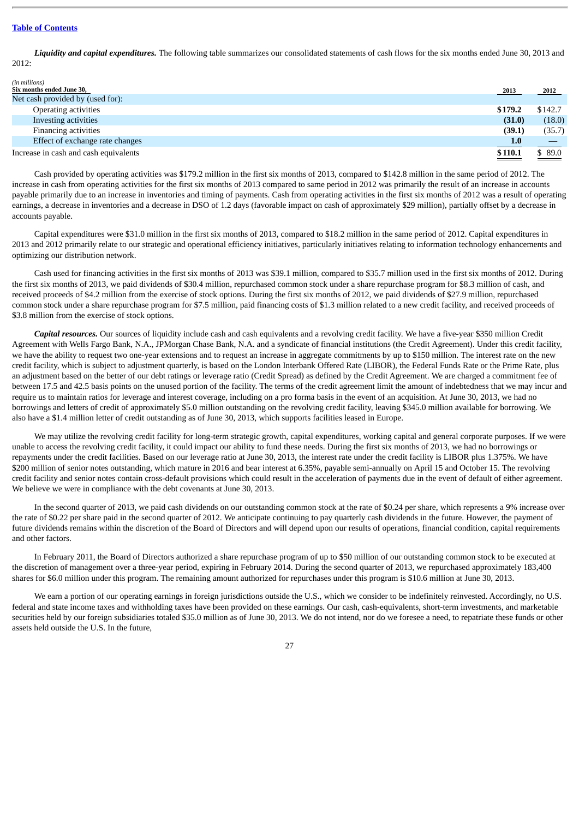*Liquidity and capital expenditures.* The following table summarizes our consolidated statements of cash flows for the six months ended June 30, 2013 and 2012:

| (in millions)                         |         |         |
|---------------------------------------|---------|---------|
| Six months ended June 30,             | 2013    | 2012    |
| Net cash provided by (used for):      |         |         |
| <b>Operating activities</b>           | \$179.2 | \$142.7 |
| Investing activities                  | (31.0)  | (18.0)  |
| <b>Financing activities</b>           | (39.1)  | (35.7)  |
| Effect of exchange rate changes       | 1.0     |         |
| Increase in cash and cash equivalents | \$110.1 | \$89.0  |

Cash provided by operating activities was \$179.2 million in the first six months of 2013, compared to \$142.8 million in the same period of 2012. The increase in cash from operating activities for the first six months of 2013 compared to same period in 2012 was primarily the result of an increase in accounts payable primarily due to an increase in inventories and timing of payments. Cash from operating activities in the first six months of 2012 was a result of operating earnings, a decrease in inventories and a decrease in DSO of 1.2 days (favorable impact on cash of approximately \$29 million), partially offset by a decrease in accounts payable.

Capital expenditures were \$31.0 million in the first six months of 2013, compared to \$18.2 million in the same period of 2012. Capital expenditures in 2013 and 2012 primarily relate to our strategic and operational efficiency initiatives, particularly initiatives relating to information technology enhancements and optimizing our distribution network.

Cash used for financing activities in the first six months of 2013 was \$39.1 million, compared to \$35.7 million used in the first six months of 2012. During the first six months of 2013, we paid dividends of \$30.4 million, repurchased common stock under a share repurchase program for \$8.3 million of cash, and received proceeds of \$4.2 million from the exercise of stock options. During the first six months of 2012, we paid dividends of \$27.9 million, repurchased common stock under a share repurchase program for \$7.5 million, paid financing costs of \$1.3 million related to a new credit facility, and received proceeds of \$3.8 million from the exercise of stock options.

*Capital resources.* Our sources of liquidity include cash and cash equivalents and a revolving credit facility. We have a five-year \$350 million Credit Agreement with Wells Fargo Bank, N.A., JPMorgan Chase Bank, N.A. and a syndicate of financial institutions (the Credit Agreement). Under this credit facility, we have the ability to request two one-year extensions and to request an increase in aggregate commitments by up to \$150 million. The interest rate on the new credit facility, which is subject to adjustment quarterly, is based on the London Interbank Offered Rate (LIBOR), the Federal Funds Rate or the Prime Rate, plus an adjustment based on the better of our debt ratings or leverage ratio (Credit Spread) as defined by the Credit Agreement. We are charged a commitment fee of between 17.5 and 42.5 basis points on the unused portion of the facility. The terms of the credit agreement limit the amount of indebtedness that we may incur and require us to maintain ratios for leverage and interest coverage, including on a pro forma basis in the event of an acquisition. At June 30, 2013, we had no borrowings and letters of credit of approximately \$5.0 million outstanding on the revolving credit facility, leaving \$345.0 million available for borrowing. We also have a \$1.4 million letter of credit outstanding as of June 30, 2013, which supports facilities leased in Europe.

We may utilize the revolving credit facility for long-term strategic growth, capital expenditures, working capital and general corporate purposes. If we were unable to access the revolving credit facility, it could impact our ability to fund these needs. During the first six months of 2013, we had no borrowings or repayments under the credit facilities. Based on our leverage ratio at June 30, 2013, the interest rate under the credit facility is LIBOR plus 1.375%. We have \$200 million of senior notes outstanding, which mature in 2016 and bear interest at 6.35%, payable semi-annually on April 15 and October 15. The revolving credit facility and senior notes contain cross-default provisions which could result in the acceleration of payments due in the event of default of either agreement. We believe we were in compliance with the debt covenants at June 30, 2013.

In the second quarter of 2013, we paid cash dividends on our outstanding common stock at the rate of \$0.24 per share, which represents a 9% increase over the rate of \$0.22 per share paid in the second quarter of 2012. We anticipate continuing to pay quarterly cash dividends in the future. However, the payment of future dividends remains within the discretion of the Board of Directors and will depend upon our results of operations, financial condition, capital requirements and other factors.

In February 2011, the Board of Directors authorized a share repurchase program of up to \$50 million of our outstanding common stock to be executed at the discretion of management over a three-year period, expiring in February 2014. During the second quarter of 2013, we repurchased approximately 183,400 shares for \$6.0 million under this program. The remaining amount authorized for repurchases under this program is \$10.6 million at June 30, 2013.

We earn a portion of our operating earnings in foreign jurisdictions outside the U.S., which we consider to be indefinitely reinvested. Accordingly, no U.S. federal and state income taxes and withholding taxes have been provided on these earnings. Our cash, cash-equivalents, short-term investments, and marketable securities held by our foreign subsidiaries totaled \$35.0 million as of June 30, 2013. We do not intend, nor do we foresee a need, to repatriate these funds or other assets held outside the U.S. In the future,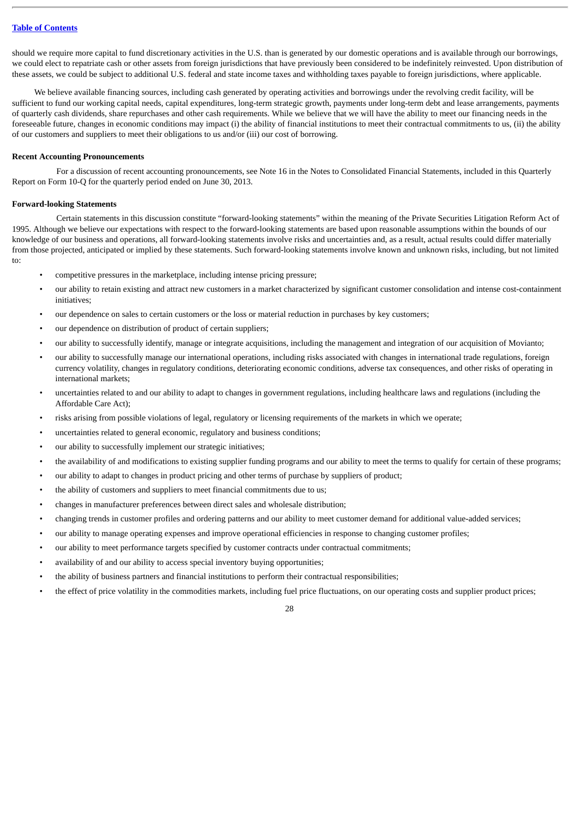should we require more capital to fund discretionary activities in the U.S. than is generated by our domestic operations and is available through our borrowings, we could elect to repatriate cash or other assets from foreign jurisdictions that have previously been considered to be indefinitely reinvested. Upon distribution of these assets, we could be subject to additional U.S. federal and state income taxes and withholding taxes payable to foreign jurisdictions, where applicable.

We believe available financing sources, including cash generated by operating activities and borrowings under the revolving credit facility, will be sufficient to fund our working capital needs, capital expenditures, long-term strategic growth, payments under long-term debt and lease arrangements, payments of quarterly cash dividends, share repurchases and other cash requirements. While we believe that we will have the ability to meet our financing needs in the foreseeable future, changes in economic conditions may impact (i) the ability of financial institutions to meet their contractual commitments to us, (ii) the ability of our customers and suppliers to meet their obligations to us and/or (iii) our cost of borrowing.

#### **Recent Accounting Pronouncements**

For a discussion of recent accounting pronouncements, see Note 16 in the Notes to Consolidated Financial Statements, included in this Quarterly Report on Form 10-Q for the quarterly period ended on June 30, 2013.

#### **Forward-looking Statements**

Certain statements in this discussion constitute "forward-looking statements" within the meaning of the Private Securities Litigation Reform Act of 1995. Although we believe our expectations with respect to the forward-looking statements are based upon reasonable assumptions within the bounds of our knowledge of our business and operations, all forward-looking statements involve risks and uncertainties and, as a result, actual results could differ materially from those projected, anticipated or implied by these statements. Such forward-looking statements involve known and unknown risks, including, but not limited to:

- competitive pressures in the marketplace, including intense pricing pressure;
- our ability to retain existing and attract new customers in a market characterized by significant customer consolidation and intense cost-containment initiatives;
- our dependence on sales to certain customers or the loss or material reduction in purchases by key customers;
- our dependence on distribution of product of certain suppliers;
- our ability to successfully identify, manage or integrate acquisitions, including the management and integration of our acquisition of Movianto;
- our ability to successfully manage our international operations, including risks associated with changes in international trade regulations, foreign currency volatility, changes in regulatory conditions, deteriorating economic conditions, adverse tax consequences, and other risks of operating in international markets;
- uncertainties related to and our ability to adapt to changes in government regulations, including healthcare laws and regulations (including the Affordable Care Act);
- risks arising from possible violations of legal, regulatory or licensing requirements of the markets in which we operate;
- uncertainties related to general economic, regulatory and business conditions;
- our ability to successfully implement our strategic initiatives;
- the availability of and modifications to existing supplier funding programs and our ability to meet the terms to qualify for certain of these programs;
- our ability to adapt to changes in product pricing and other terms of purchase by suppliers of product;
- the ability of customers and suppliers to meet financial commitments due to us;
- changes in manufacturer preferences between direct sales and wholesale distribution;
- changing trends in customer profiles and ordering patterns and our ability to meet customer demand for additional value-added services;
- our ability to manage operating expenses and improve operational efficiencies in response to changing customer profiles;
- our ability to meet performance targets specified by customer contracts under contractual commitments;
- availability of and our ability to access special inventory buying opportunities;
- the ability of business partners and financial institutions to perform their contractual responsibilities;
- the effect of price volatility in the commodities markets, including fuel price fluctuations, on our operating costs and supplier product prices;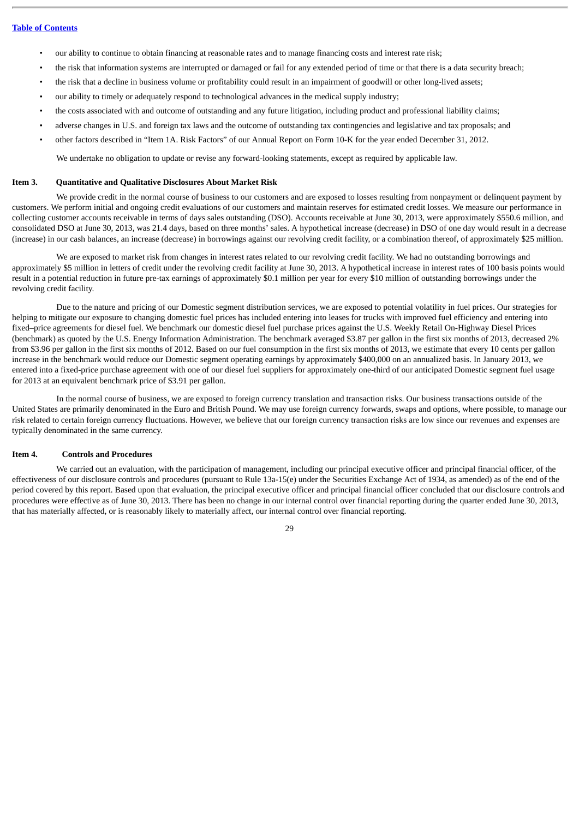- our ability to continue to obtain financing at reasonable rates and to manage financing costs and interest rate risk;
- the risk that information systems are interrupted or damaged or fail for any extended period of time or that there is a data security breach;
	- the risk that a decline in business volume or profitability could result in an impairment of goodwill or other long-lived assets;
- our ability to timely or adequately respond to technological advances in the medical supply industry;
- the costs associated with and outcome of outstanding and any future litigation, including product and professional liability claims;
- adverse changes in U.S. and foreign tax laws and the outcome of outstanding tax contingencies and legislative and tax proposals; and
- other factors described in "Item 1A. Risk Factors" of our Annual Report on Form 10-K for the year ended December 31, 2012.

We undertake no obligation to update or revise any forward-looking statements, except as required by applicable law.

#### <span id="page-28-0"></span>**Item 3. Quantitative and Qualitative Disclosures About Market Risk**

We provide credit in the normal course of business to our customers and are exposed to losses resulting from nonpayment or delinquent payment by customers. We perform initial and ongoing credit evaluations of our customers and maintain reserves for estimated credit losses. We measure our performance in collecting customer accounts receivable in terms of days sales outstanding (DSO). Accounts receivable at June 30, 2013, were approximately \$550.6 million, and consolidated DSO at June 30, 2013, was 21.4 days, based on three months' sales. A hypothetical increase (decrease) in DSO of one day would result in a decrease (increase) in our cash balances, an increase (decrease) in borrowings against our revolving credit facility, or a combination thereof, of approximately \$25 million.

We are exposed to market risk from changes in interest rates related to our revolving credit facility. We had no outstanding borrowings and approximately \$5 million in letters of credit under the revolving credit facility at June 30, 2013. A hypothetical increase in interest rates of 100 basis points would result in a potential reduction in future pre-tax earnings of approximately \$0.1 million per year for every \$10 million of outstanding borrowings under the revolving credit facility.

Due to the nature and pricing of our Domestic segment distribution services, we are exposed to potential volatility in fuel prices. Our strategies for helping to mitigate our exposure to changing domestic fuel prices has included entering into leases for trucks with improved fuel efficiency and entering into fixed–price agreements for diesel fuel. We benchmark our domestic diesel fuel purchase prices against the U.S. Weekly Retail On-Highway Diesel Prices (benchmark) as quoted by the U.S. Energy Information Administration. The benchmark averaged \$3.87 per gallon in the first six months of 2013, decreased 2% from \$3.96 per gallon in the first six months of 2012. Based on our fuel consumption in the first six months of 2013, we estimate that every 10 cents per gallon increase in the benchmark would reduce our Domestic segment operating earnings by approximately \$400,000 on an annualized basis. In January 2013, we entered into a fixed-price purchase agreement with one of our diesel fuel suppliers for approximately one-third of our anticipated Domestic segment fuel usage for 2013 at an equivalent benchmark price of \$3.91 per gallon.

In the normal course of business, we are exposed to foreign currency translation and transaction risks. Our business transactions outside of the United States are primarily denominated in the Euro and British Pound. We may use foreign currency forwards, swaps and options, where possible, to manage our risk related to certain foreign currency fluctuations. However, we believe that our foreign currency transaction risks are low since our revenues and expenses are typically denominated in the same currency.

#### <span id="page-28-1"></span>**Item 4. Controls and Procedures**

We carried out an evaluation, with the participation of management, including our principal executive officer and principal financial officer, of the effectiveness of our disclosure controls and procedures (pursuant to Rule 13a-15(e) under the Securities Exchange Act of 1934, as amended) as of the end of the period covered by this report. Based upon that evaluation, the principal executive officer and principal financial officer concluded that our disclosure controls and procedures were effective as of June 30, 2013. There has been no change in our internal control over financial reporting during the quarter ended June 30, 2013, that has materially affected, or is reasonably likely to materially affect, our internal control over financial reporting.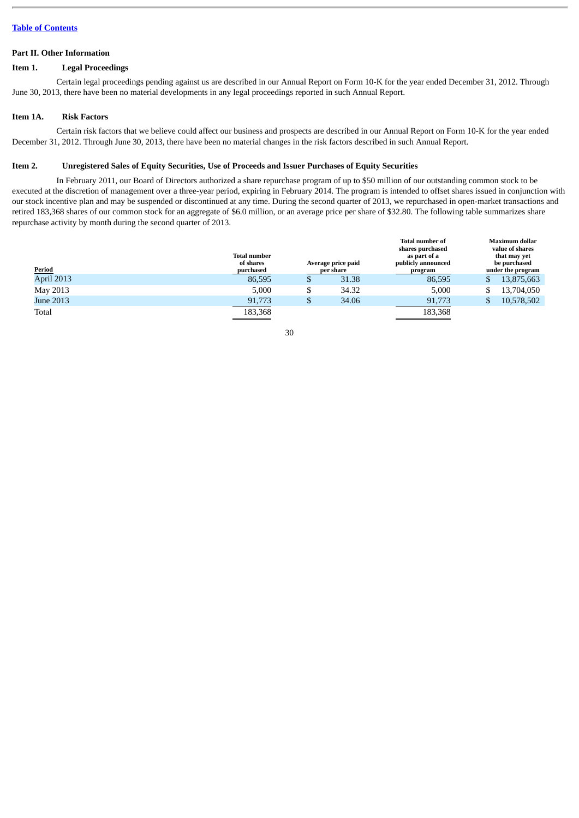### **Part II. Other Information**

### <span id="page-29-0"></span>**Item 1. Legal Proceedings**

Certain legal proceedings pending against us are described in our Annual Report on Form 10-K for the year ended December 31, 2012. Through June 30, 2013, there have been no material developments in any legal proceedings reported in such Annual Report.

#### <span id="page-29-1"></span>**Item 1A. Risk Factors**

Certain risk factors that we believe could affect our business and prospects are described in our Annual Report on Form 10-K for the year ended December 31, 2012. Through June 30, 2013, there have been no material changes in the risk factors described in such Annual Report.

### <span id="page-29-2"></span>**Item 2. Unregistered Sales of Equity Securities, Use of Proceeds and Issuer Purchases of Equity Securities**

In February 2011, our Board of Directors authorized a share repurchase program of up to \$50 million of our outstanding common stock to be executed at the discretion of management over a three-year period, expiring in February 2014. The program is intended to offset shares issued in conjunction with our stock incentive plan and may be suspended or discontinued at any time. During the second quarter of 2013, we repurchased in open-market transactions and retired 183,368 shares of our common stock for an aggregate of \$6.0 million, or an average price per share of \$32.80. The following table summarizes share repurchase activity by month during the second quarter of 2013.

| Period     | Total number<br>of shares<br>purchased | <b>Total number of</b><br>shares purchased<br>as part of a<br>Average price paid<br>publicly announced<br>per share<br>program |         | <b>Maximum</b> dollar<br>value of shares<br>that may yet<br>be purchased<br>under the program |            |
|------------|----------------------------------------|--------------------------------------------------------------------------------------------------------------------------------|---------|-----------------------------------------------------------------------------------------------|------------|
| April 2013 | 86,595                                 | \$<br>31.38                                                                                                                    | 86,595  | \$                                                                                            | 13,875,663 |
| May 2013   | 5.000                                  | \$<br>34.32                                                                                                                    | 5.000   | \$                                                                                            | 13,704,050 |
| June 2013  | 91,773                                 | \$<br>34.06                                                                                                                    | 91,773  | \$                                                                                            | 10,578,502 |
| Total      | 183,368                                |                                                                                                                                | 183,368 |                                                                                               |            |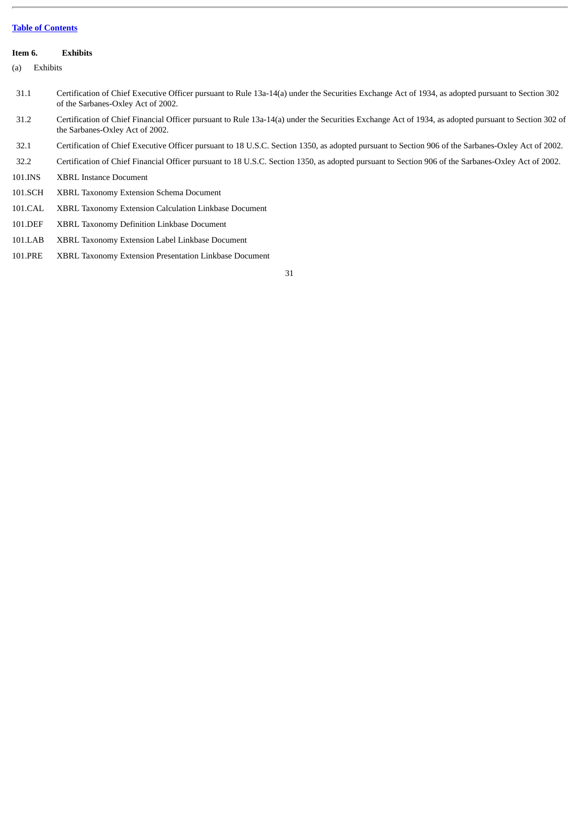#### <span id="page-30-0"></span>**Item 6. Exhibits**

(a) Exhibits

- 31.1 Certification of Chief Executive Officer pursuant to Rule 13a-14(a) under the Securities Exchange Act of 1934, as adopted pursuant to Section 302 of the Sarbanes-Oxley Act of 2002.
- 31.2 Certification of Chief Financial Officer pursuant to Rule 13a-14(a) under the Securities Exchange Act of 1934, as adopted pursuant to Section 302 of the Sarbanes-Oxley Act of 2002.
- 32.1 Certification of Chief Executive Officer pursuant to 18 U.S.C. Section 1350, as adopted pursuant to Section 906 of the Sarbanes-Oxley Act of 2002.
- 32.2 Certification of Chief Financial Officer pursuant to 18 U.S.C. Section 1350, as adopted pursuant to Section 906 of the Sarbanes-Oxley Act of 2002.
- 101.INS XBRL Instance Document
- 101.SCH XBRL Taxonomy Extension Schema Document
- 101.CAL XBRL Taxonomy Extension Calculation Linkbase Document
- 101.DEF XBRL Taxonomy Definition Linkbase Document
- 101.LAB XBRL Taxonomy Extension Label Linkbase Document
- 101.PRE XBRL Taxonomy Extension Presentation Linkbase Document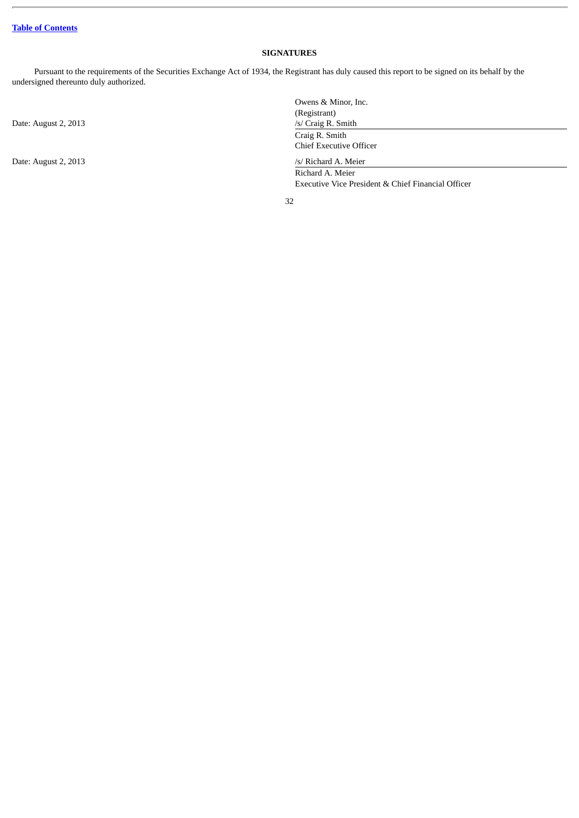### **SIGNATURES**

Pursuant to the requirements of the Securities Exchange Act of 1934, the Registrant has duly caused this report to be signed on its behalf by the undersigned thereunto duly authorized.

Date: August 2, 2013

Date: August 2, 2013 /s/ Richard A. Meier

Owens & Minor, Inc. (Registrant)<br>/s/ Craig R. Smith Craig R. Smith Chief Executive Officer

Richard A. Meier Executive Vice President & Chief Financial Officer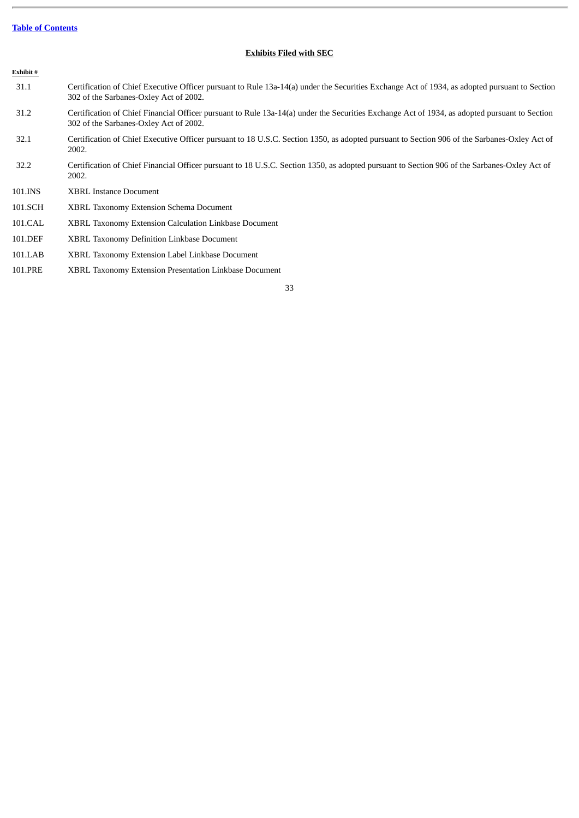$\overline{a}$ 

### **Exhibits Filed with SEC**

| Exhibit # |                                                                                                                                                                                         |
|-----------|-----------------------------------------------------------------------------------------------------------------------------------------------------------------------------------------|
| 31.1      | Certification of Chief Executive Officer pursuant to Rule 13a-14(a) under the Securities Exchange Act of 1934, as adopted pursuant to Section<br>302 of the Sarbanes-Oxley Act of 2002. |
| 31.2      | Certification of Chief Financial Officer pursuant to Rule 13a-14(a) under the Securities Exchange Act of 1934, as adopted pursuant to Section<br>302 of the Sarbanes-Oxley Act of 2002. |
| 32.1      | Certification of Chief Executive Officer pursuant to 18 U.S.C. Section 1350, as adopted pursuant to Section 906 of the Sarbanes-Oxley Act of<br>2002.                                   |
| 32.2      | Certification of Chief Financial Officer pursuant to 18 U.S.C. Section 1350, as adopted pursuant to Section 906 of the Sarbanes-Oxley Act of<br>2002.                                   |
| 101.INS   | <b>XBRL Instance Document</b>                                                                                                                                                           |
| 101.SCH   | XBRL Taxonomy Extension Schema Document                                                                                                                                                 |
| 101.CAL   | XBRL Taxonomy Extension Calculation Linkbase Document                                                                                                                                   |
| 101.DEF   | XBRL Taxonomy Definition Linkbase Document                                                                                                                                              |
| 101.LAB   | XBRL Taxonomy Extension Label Linkbase Document                                                                                                                                         |
| 101.PRE   | XBRL Taxonomy Extension Presentation Linkbase Document                                                                                                                                  |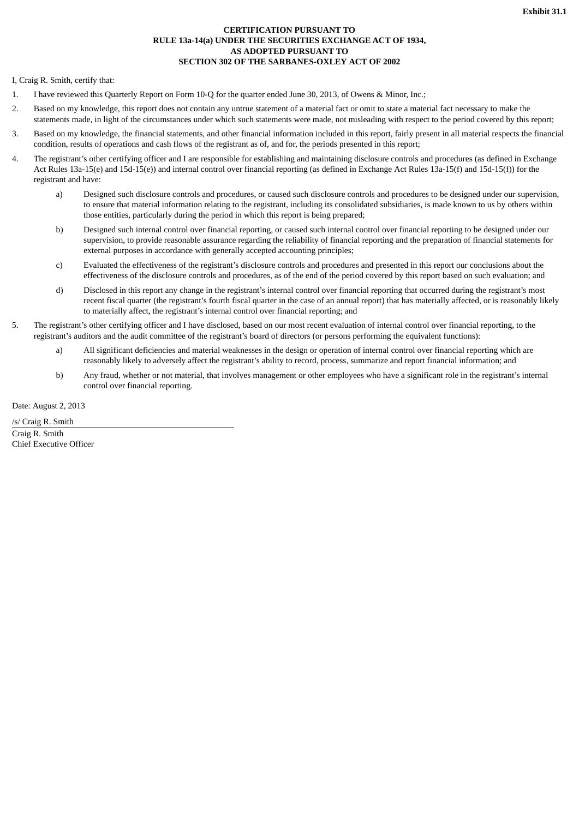### **CERTIFICATION PURSUANT TO RULE 13a-14(a) UNDER THE SECURITIES EXCHANGE ACT OF 1934, AS ADOPTED PURSUANT TO SECTION 302 OF THE SARBANES-OXLEY ACT OF 2002**

I, Craig R. Smith, certify that:

- 1. I have reviewed this Quarterly Report on Form 10-Q for the quarter ended June 30, 2013, of Owens & Minor, Inc.;
- 2. Based on my knowledge, this report does not contain any untrue statement of a material fact or omit to state a material fact necessary to make the statements made, in light of the circumstances under which such statements were made, not misleading with respect to the period covered by this report;
- 3. Based on my knowledge, the financial statements, and other financial information included in this report, fairly present in all material respects the financial condition, results of operations and cash flows of the registrant as of, and for, the periods presented in this report;
- 4. The registrant's other certifying officer and I are responsible for establishing and maintaining disclosure controls and procedures (as defined in Exchange Act Rules 13a-15(e) and 15d-15(e)) and internal control over financial reporting (as defined in Exchange Act Rules 13a-15(f) and 15d-15(f)) for the registrant and have:
	- a) Designed such disclosure controls and procedures, or caused such disclosure controls and procedures to be designed under our supervision, to ensure that material information relating to the registrant, including its consolidated subsidiaries, is made known to us by others within those entities, particularly during the period in which this report is being prepared;
	- b) Designed such internal control over financial reporting, or caused such internal control over financial reporting to be designed under our supervision, to provide reasonable assurance regarding the reliability of financial reporting and the preparation of financial statements for external purposes in accordance with generally accepted accounting principles;
	- c) Evaluated the effectiveness of the registrant's disclosure controls and procedures and presented in this report our conclusions about the effectiveness of the disclosure controls and procedures, as of the end of the period covered by this report based on such evaluation; and
	- d) Disclosed in this report any change in the registrant's internal control over financial reporting that occurred during the registrant's most recent fiscal quarter (the registrant's fourth fiscal quarter in the case of an annual report) that has materially affected, or is reasonably likely to materially affect, the registrant's internal control over financial reporting; and
- 5. The registrant's other certifying officer and I have disclosed, based on our most recent evaluation of internal control over financial reporting, to the registrant's auditors and the audit committee of the registrant's board of directors (or persons performing the equivalent functions):
	- a) All significant deficiencies and material weaknesses in the design or operation of internal control over financial reporting which are reasonably likely to adversely affect the registrant's ability to record, process, summarize and report financial information; and
	- b) Any fraud, whether or not material, that involves management or other employees who have a significant role in the registrant's internal control over financial reporting.

Date: August 2, 2013

/s/ Craig R. Smith Craig R. Smith

Chief Executive Officer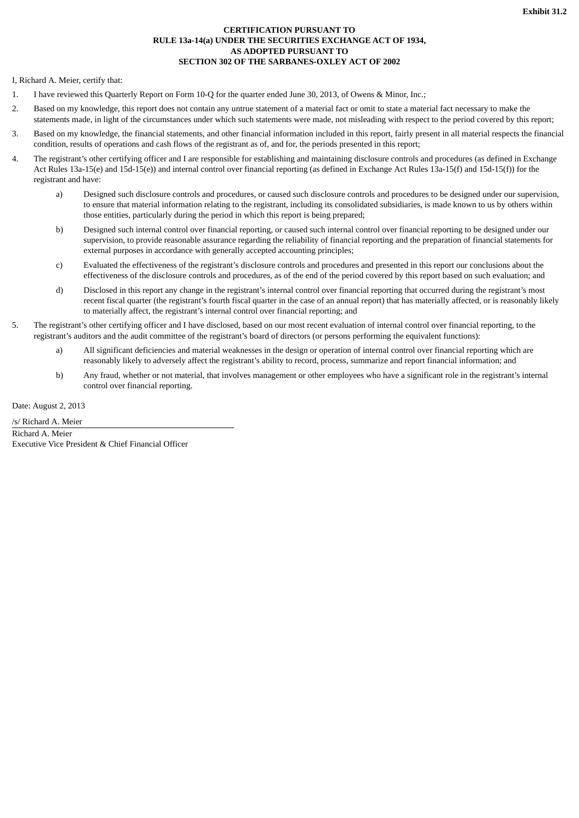### **CERTIFICATION PURSUANT TO RULE 13a-14(a) UNDER THE SECURITIES EXCHANGE ACT OF 1934, AS ADOPTED PURSUANT TO SECTION 302 OF THE SARBANES-OXLEY ACT OF 2002**

I, Richard A. Meier, certify that:

- 1. I have reviewed this Quarterly Report on Form 10-Q for the quarter ended June 30, 2013, of Owens & Minor, Inc.;
- 2. Based on my knowledge, this report does not contain any untrue statement of a material fact or omit to state a material fact necessary to make the statements made, in light of the circumstances under which such statements were made, not misleading with respect to the period covered by this report;
- 3. Based on my knowledge, the financial statements, and other financial information included in this report, fairly present in all material respects the financial condition, results of operations and cash flows of the registrant as of, and for, the periods presented in this report;
- 4. The registrant's other certifying officer and I are responsible for establishing and maintaining disclosure controls and procedures (as defined in Exchange Act Rules 13a-15(e) and 15d-15(e)) and internal control over financial reporting (as defined in Exchange Act Rules 13a-15(f) and 15d-15(f)) for the registrant and have:
	- a) Designed such disclosure controls and procedures, or caused such disclosure controls and procedures to be designed under our supervision, to ensure that material information relating to the registrant, including its consolidated subsidiaries, is made known to us by others within those entities, particularly during the period in which this report is being prepared;
	- b) Designed such internal control over financial reporting, or caused such internal control over financial reporting to be designed under our supervision, to provide reasonable assurance regarding the reliability of financial reporting and the preparation of financial statements for external purposes in accordance with generally accepted accounting principles;
	- c) Evaluated the effectiveness of the registrant's disclosure controls and procedures and presented in this report our conclusions about the effectiveness of the disclosure controls and procedures, as of the end of the period covered by this report based on such evaluation; and
	- d) Disclosed in this report any change in the registrant's internal control over financial reporting that occurred during the registrant's most recent fiscal quarter (the registrant's fourth fiscal quarter in the case of an annual report) that has materially affected, or is reasonably likely to materially affect, the registrant's internal control over financial reporting; and
- 5. The registrant's other certifying officer and I have disclosed, based on our most recent evaluation of internal control over financial reporting, to the registrant's auditors and the audit committee of the registrant's board of directors (or persons performing the equivalent functions):
	- a) All significant deficiencies and material weaknesses in the design or operation of internal control over financial reporting which are reasonably likely to adversely affect the registrant's ability to record, process, summarize and report financial information; and
	- b) Any fraud, whether or not material, that involves management or other employees who have a significant role in the registrant's internal control over financial reporting.

Date: August 2, 2013

/s/ Richard A. Meier Richard A. Meier Executive Vice President & Chief Financial Officer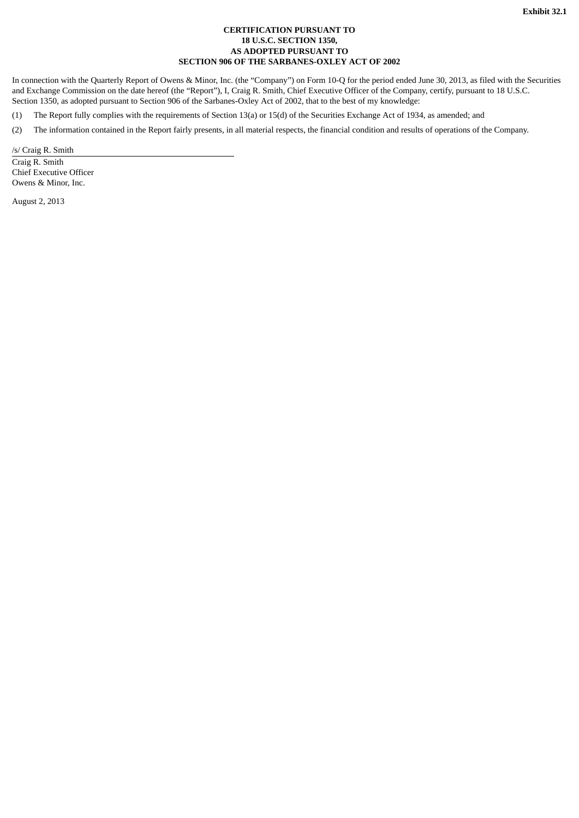### **CERTIFICATION PURSUANT TO 18 U.S.C. SECTION 1350, AS ADOPTED PURSUANT TO SECTION 906 OF THE SARBANES-OXLEY ACT OF 2002**

In connection with the Quarterly Report of Owens & Minor, Inc. (the "Company") on Form 10-Q for the period ended June 30, 2013, as filed with the Securities and Exchange Commission on the date hereof (the "Report"), I, Craig R. Smith, Chief Executive Officer of the Company, certify, pursuant to 18 U.S.C. Section 1350, as adopted pursuant to Section 906 of the Sarbanes-Oxley Act of 2002, that to the best of my knowledge:

(1) The Report fully complies with the requirements of Section 13(a) or 15(d) of the Securities Exchange Act of 1934, as amended; and

(2) The information contained in the Report fairly presents, in all material respects, the financial condition and results of operations of the Company.

/s/ Craig R. Smith

Craig R. Smith Chief Executive Officer Owens & Minor, Inc.

August 2, 2013